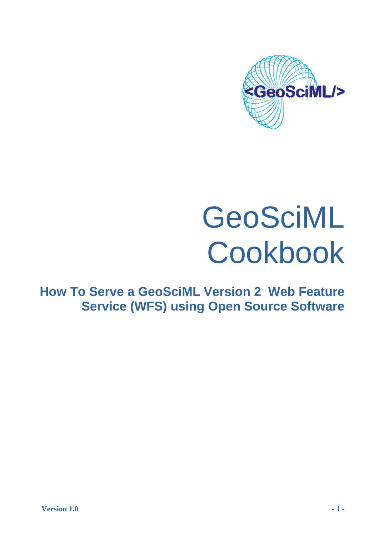

# GeoSciML Cookbook

**How To Serve a GeoSciML Version 2 Web Feature Service (WFS) using Open Source Software**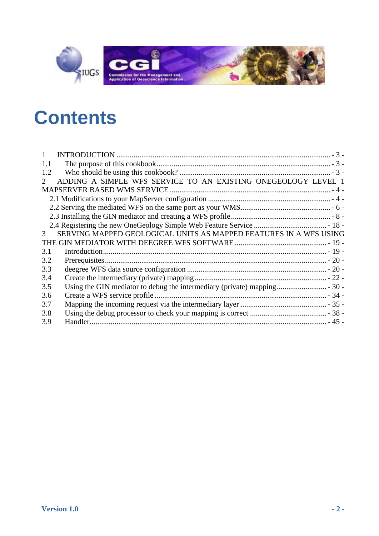

# **C [ontents](#page-2-0)**

| 1.1                                                                                    |  |
|----------------------------------------------------------------------------------------|--|
| 1.2                                                                                    |  |
| ADDING A SIMPLE WFS SERVICE TO AN EXISTING ONEGEOLOGY LEVEL 1<br>$\mathcal{D}_{\cdot}$ |  |
|                                                                                        |  |
|                                                                                        |  |
|                                                                                        |  |
|                                                                                        |  |
|                                                                                        |  |
| SERVING MAPPED GEOLOGICAL UNITS AS MAPPED FEATURES IN A WFS USING<br>3                 |  |
|                                                                                        |  |
| 3.1                                                                                    |  |
| 3.2                                                                                    |  |
| 3.3                                                                                    |  |
| 3.4                                                                                    |  |
| 3.5                                                                                    |  |
| 3.6                                                                                    |  |
| 3.7                                                                                    |  |
| 3.8                                                                                    |  |
| 3.9                                                                                    |  |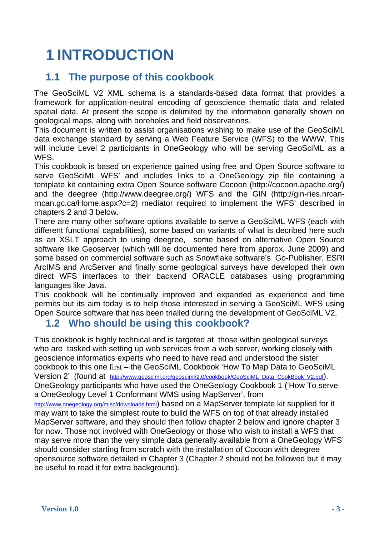# <span id="page-2-0"></span>**1 INTRODUCTION**

### **1.1 The purpose of this cookbook**

The GeoSciML V2 XML schema is a standards-based data format that provides a framework for application-neutral encoding of geoscience thematic data and related spatial data. At present the scope is delimited by the information generally shown on geological maps, along with boreholes and field observations.

This document is written to assist organisations wishing to make use of the GeoSciML data exchange standard by serving a Web Feature Service (WFS) to the WWW. This will include Level 2 participants in OneGeology who will be serving GeoSciML as a WFS.

This cookbook is based on experience gained using free and Open Source software to serve GeoSciML WFS' and includes links to a OneGeology zip file containing a template kit containing extra Open Source software Cocoon (http://cocoon.apache.org/) and the deegree (http://www.deegree.org/) WFS and the GIN (http://gin-ries.nrcanrncan.gc.ca/Home.aspx?c=2) mediator required to implement the WFS' described in chapters 2 and 3 below.

There are many other software options available to serve a GeoSciML WFS (each with different functional capabilities), some based on variants of what is decribed here such as an XSLT approach to using deegree, some based on alternative Open Source software like Geoserver (which will be documented here from approx. June 2009) and some based on commercial software such as Snowflake software's Go-Publisher, ESRI ArcIMS and ArcServer and finally some geological surveys have developed their own direct WFS interfaces to their backend ORACLE databases using programming languages like Java.

This cookbook will be continually improved and expanded as experience and time permits but its aim today is to help those interested in serving a GeoSciML WFS using Open Source software that has been trialled during the development of GeoSciML V2.

### **1.2 Who should be using this cookbook?**

This cookbook is highly technical and is targeted at those within geological surveys who are tasked with setting up web services from a web server, working closely with geoscience informatics experts who need to have read and understood the sister cookbook to this one first – the GeoSciML Cookbook 'How To Map Data to GeoSciML Version 2' (found at http://www.geosciml.org/geosciml/2.0/cookbook/GeoSciML\_Data\_CookBook\_V2.pdf). OneGeology participants who have used the OneGeology Cookbook 1 ('How To serve a OneGeology Level 1 Conformant WMS using MapServer', from

http://www.onegeology.org/misc/downloads.html) based on a MapServer template kit supplied for it may want to take the simplest route to build the WFS on top of that already installed MapServer software, and they should then follow chapter 2 below and ignore chapter 3 for now. Those not involved with OneGeology or those who wish to install a WFS that may serve more than the very simple data generally available from a OneGeology WFS' should consider starting from scratch with the installation of Cocoon with deegree opensource software detailed in Chapter 3 (Chapter 2 should not be followed but it may be useful to read it for extra background).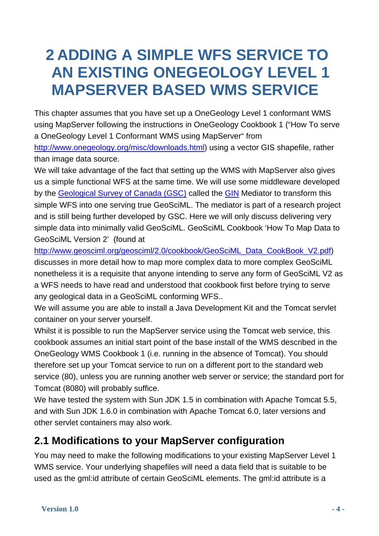## <span id="page-3-0"></span>**2 ADDING A SIMPLE WFS SERVICE TO AN EXISTING ONEGEOLOGY LEVEL 1 MAPSERVER BASED WMS SERVICE**

This chapter assumes that you have set up a OneGeology Level 1 conformant WMS using MapServer following the instructions in OneGeology Cookbook 1 ("How To serve a OneGeology Level 1 Conformant WMS using MapServer" from http://www.onegeology.org/misc/downloads.html) using a vector GIS shapefile, rather than image data source.

We will take advantage of the fact that setting up the WMS with MapServer also gives us a simple functional WFS at the same time. We will use some middleware developed by the Geological Survey of Canada (GSC) called the GIN Mediator to transform this simple WFS into one serving true GeoSciML. The mediator is part of a research project and is still being further developed by GSC. Here we will only discuss delivering very simple data into minimally valid GeoSciML. GeoSciML Cookbook 'How To Map Data to GeoSciML Version 2' (found at

http://www.geosciml.org/geosciml/2.0/cookbook/GeoSciML\_Data\_CookBook\_V2.pdf) discusses in more detail how to map more complex data to more complex GeoSciML nonetheless it is a requisite that anyone intending to serve any form of GeoSciML V2 as a WFS needs to have read and understood that cookbook first before trying to serve any geological data in a GeoSciML conforming WFS..

We will assume you are able to install a Java Development Kit and the Tomcat servlet container on your server yourself.

Whilst it is possible to run the MapServer service using the Tomcat web service, this cookbook assumes an initial start point of the base install of the WMS described in the OneGeology WMS Cookbook 1 (i.e. running in the absence of Tomcat). You should therefore set up your Tomcat service to run on a different port to the standard web service (80), unless you are running another web server or service; the standard port for Tomcat (8080) will probably suffice.

We have tested the system with Sun JDK 1.5 in combination with Apache Tomcat 5.5, and with Sun JDK 1.6.0 in combination with Apache Tomcat 6.0, later versions and other servlet containers may also work.

### <span id="page-3-1"></span>**2.1 Modifications to your MapServer configuration**

You may need to make the following modifications to your existing MapServer Level 1 WMS service. Your underlying shapefiles will need a data field that is suitable to be used as the gml:id attribute of certain GeoSciML elements. The gml:id attribute is a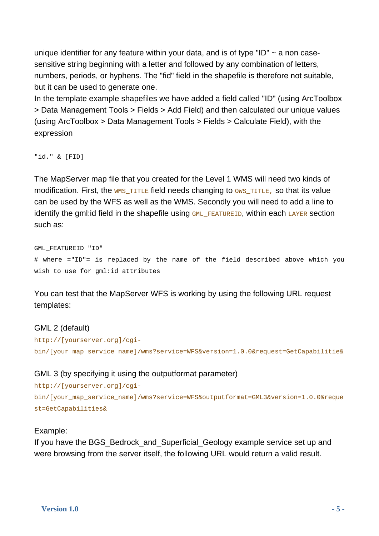unique identifier for any feature within your data, and is of type "ID"  $\sim$  a non casesensitive string beginning with a letter and followed by any combination of letters, numbers, periods, or hyphens. The "fid" field in the shapefile is therefore not suitable, but it can be used to generate one.

In the template example shapefiles we have added a field called "ID" (using ArcToolbox > Data Management Tools > Fields > Add Field) and then calculated our unique values (using ArcToolbox > Data Management Tools > Fields > Calculate Field), with the expression

"id." & [FID]

The MapServer map file that you created for the Level 1 WMS will need two kinds of modification. First, the WMS TITLE field needs changing to  $\cos$  TITLE, so that its value can be used by the WFS as well as the WMS. Secondly you will need to add a line to identify the gml: id field in the shapefile using  $GML$  FEATUREID, within each LAYER section such as:

GML\_FEATUREID "ID" # where ="ID"= is replaced by the name of the field described above which you wish to use for gml:id attributes

You can test that the MapServer WFS is working by using the following URL request templates:

### GML 2 (default)

```
http://[yourserver.org]/cgi-
bin/[your_map_service_name]/wms?service=WFS&version=1.0.0&request=GetCapabilitie&
```
### GML 3 (by specifying it using the outputformat parameter)

```
http://[yourserver.org]/cgi-
bin/[your_map_service_name]/wms?service=WFS&outputformat=GML3&version=1.0.0&reque
st=GetCapabilities&
```
### Example:

If you have the BGS Bedrock and Superficial Geology example service set up and were browsing from the server itself, the following URL would return a valid result.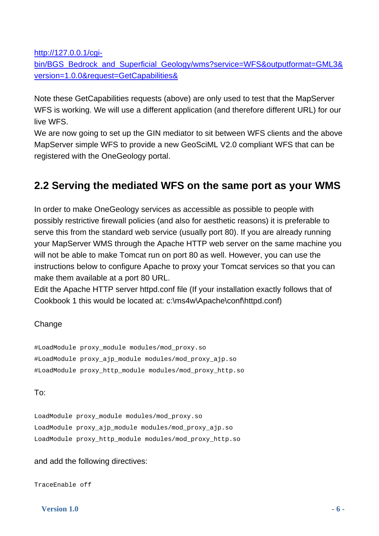http://127.0.0.1/cgi-

bin/BGS\_Bedrock\_and\_Superficial\_Geology/wms?service=WFS&outputformat=GML3& version=1.0.0&request=GetCapabilities&

Note these GetCapabilities requests (above) are only used to test that the MapServer WFS is working. We will use a different application (and therefore different URL) for our live WFS.

We are now going to set up the GIN mediator to sit between WFS clients and the above MapServer simple WFS to provide a new GeoSciML V2.0 compliant WFS that can be registered with the OneGeology portal.

### <span id="page-5-0"></span>**2.2 Serving the mediated WFS on the same port as your WMS**

In order to make OneGeology services as accessible as possible to people with possibly restrictive firewall policies (and also for aesthetic reasons) it is preferable to serve this from the standard web service (usually port 80). If you are already running your MapServer WMS through the Apache HTTP web server on the same machine you will not be able to make Tomcat run on port 80 as well. However, you can use the instructions below to configure Apache to proxy your Tomcat services so that you can make them available at a port 80 URL.

Edit the Apache HTTP server httpd.conf file (If your installation exactly follows that of Cookbook 1 this would be located at: c:\ms4w\Apache\conf\httpd.conf)

### **Change**

#LoadModule proxy\_module modules/mod\_proxy.so #LoadModule proxy\_ajp\_module modules/mod\_proxy\_ajp.so #LoadModule proxy\_http\_module modules/mod\_proxy\_http.so

### To:

LoadModule proxy\_module modules/mod\_proxy.so LoadModule proxy\_ajp\_module modules/mod\_proxy\_ajp.so LoadModule proxy\_http\_module modules/mod\_proxy\_http.so

### and add the following directives:

TraceEnable off

 **Version 1.0**  $-6$  -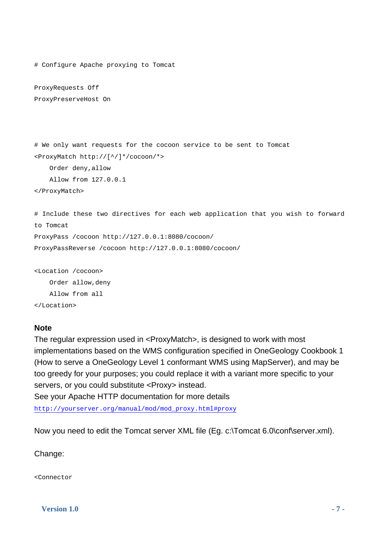```
# Configure Apache proxying to Tomcat 
ProxyRequests Off 
ProxyPreserveHost On 
# We only want requests for the cocoon service to be sent to Tomcat 
<ProxyMatch http://[^/]*/cocoon/*> 
     Order deny,allow 
     Allow from 127.0.0.1 
</ProxyMatch> 
# Include these two directives for each web application that you wish to forward 
to Tomcat 
ProxyPass /cocoon http://127.0.0.1:8080/cocoon/ 
ProxyPassReverse /cocoon http://127.0.0.1:8080/cocoon/
```
### <Location /cocoon> Order allow,deny

Allow from all

</Location>

### **Note**

The regular expression used in <ProxyMatch>, is designed to work with most implementations based on the WMS configuration specified in OneGeology Cookbook 1 (How to serve a OneGeology Level 1 conformant WMS using MapServer), and may be too greedy for your purposes; you could replace it with a variant more specific to your servers, or you could substitute <Proxy> instead.

See your Apache HTTP documentation for more details

http://yourserver.org/manual/mod/mod\_proxy.html#proxy

Now you need to edit the Tomcat server XML file (Eg. c:\Tomcat 6.0\conf\server.xml).

### Change:

<Connector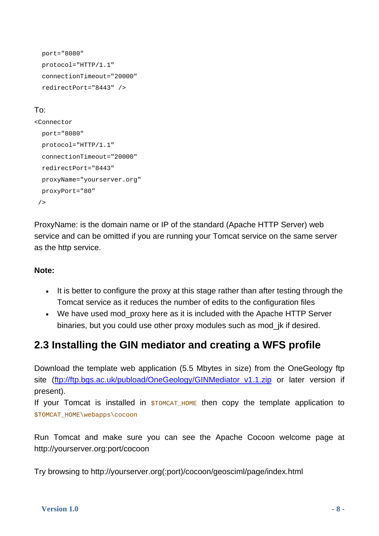```
 port="8080" 
 protocol="HTTP/1.1" 
 connectionTimeout="20000" 
 redirectPort="8443" />
```
### To:

```
<Connector 
   port="8080" 
  protocol="HTTP/1.1" 
   connectionTimeout="20000" 
   redirectPort="8443" 
  proxyName="yourserver.org" 
  proxyPort="80" 
/
```
ProxyName: is the domain name or IP of the standard (Apache HTTP Server) web service and can be omitted if you are running your Tomcat service on the same server as the http service.

### **Note:**

- It is better to configure the proxy at this stage rather than after testing through the Tomcat service as it reduces the number of edits to the configuration files
- We have used mod proxy here as it is included with the Apache HTTP Server binaries, but you could use other proxy modules such as mod\_jk if desired.

### **2.3 Installing the GIN mediator and creating a WFS profile**

Download the template web application (5.5 Mbytes in size) from the OneGeology ftp site (ftp://ftp.bgs.ac.uk/pubload/OneGeology/GINMediator v1.1.zip or later version if present).

If your Tomcat is installed in  $$TOMCAT_HOME$  then copy the template application to \$TOMCAT\_HOME\webapps\cocoon

Run Tomcat and make sure you can see the Apache Cocoon welcome page at http://yourserver.org:port/cocoon

Try browsing to http://yourserver.org(:port)/cocoon/geosciml/page/index.html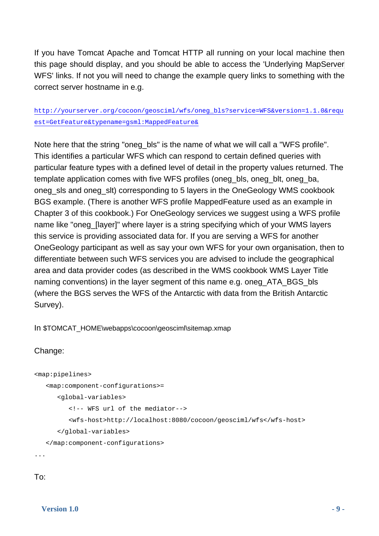If you have Tomcat Apache and Tomcat HTTP all running on your local machine then this page should display, and you should be able to access the 'Underlying MapServer WFS' links. If not you will need to change the example query links to something with the correct server hostname in e.g.

### http://yourserver.org/cocoon/geosciml/wfs/oneg\_bls?service=WFS&version=1.1.0&requ est=GetFeature&typename=gsml:MappedFeature&

Note here that the string "oneg\_bls" is the name of what we will call a "WFS profile". This identifies a particular WFS which can respond to certain defined queries with particular feature types with a defined level of detail in the property values returned. The template application comes with five WFS profiles (oneg\_bls, oneg\_blt, oneg\_ba, oneg\_sls and oneg\_slt) corresponding to 5 layers in the OneGeology WMS cookbook BGS example. (There is another WFS profile MappedFeature used as an example in Chapter 3 of this cookbook.) For OneGeology services we suggest using a WFS profile name like "oneg\_[layer]" where layer is a string specifying which of your WMS layers this service is providing associated data for. If you are serving a WFS for another OneGeology participant as well as say your own WFS for your own organisation, then to differentiate between such WFS services you are advised to include the geographical area and data provider codes (as described in the WMS cookbook WMS Layer Title naming conventions) in the layer segment of this name e.g. oneg\_ATA\_BGS\_bls (where the BGS serves the WFS of the Antarctic with data from the British Antarctic Survey).

In \$TOMCAT\_HOME\webapps\cocoon\geosciml\sitemap.xmap

### Change:

```
<map:pipelines> 
    <map:component-configurations>= 
       <global-variables> 
          <!-- WFS url of the mediator--> 
          <wfs-host>http://localhost:8080/cocoon/geosciml/wfs</wfs-host> 
       </global-variables> 
    </map:component-configurations> 
...
```
To: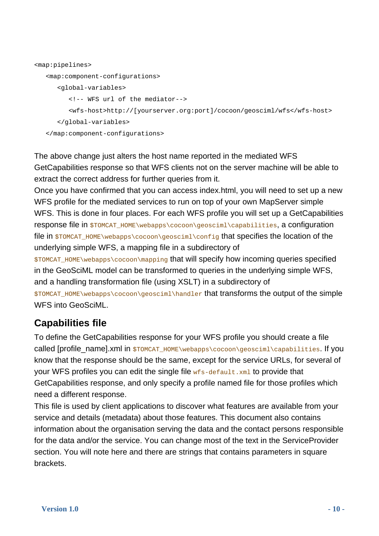```
<map:pipelines> 
    <map:component-configurations> 
       <global-variables> 
          <!-- WFS url of the mediator--> 
          <wfs-host>http://[yourserver.org:port]/cocoon/geosciml/wfs</wfs-host> 
       </global-variables> 
    </map:component-configurations>
```
The above change just alters the host name reported in the mediated WFS GetCapabilities response so that WFS clients not on the server machine will be able to extract the correct address for further queries from it.

Once you have confirmed that you can access index.html, you will need to set up a new WFS profile for the mediated services to run on top of your own MapServer simple WFS. This is done in four places. For each WFS profile you will set up a GetCapabilities response file in \$TOMCAT\_HOME\webapps\cocoon\geosciml\capabilities, a configuration file in  $$TOMCAT$   $HOME\webapps\cocon\q$  $\con\@iota\con\con\con\@iota\con\@iota\con\@iota\con\@iota\con\@iota\con\@iota\con\@iota\con\@iota\con\@iota\con\@iota\con\@iota\con\@iota\con\@iota\con\@iota\con\@iota\con\@iota\con\@iota\con\@iota\con\@iota\con\@iota\con\@iota\con\@iota\con\@i\cong\@i\cong\@i\cong\@i\cong\@i\cong\@i\cong\@i\cong\@i\con$ underlying simple WFS, a mapping file in a subdirectory of

\$TOMCAT\_HOME\webapps\cocoon\mapping that will specify how incoming queries specified in the GeoSciML model can be transformed to queries in the underlying simple WFS, and a handling transformation file (using XSLT) in a subdirectory of

\$TOMCAT\_HOME\webapps\cocoon\geosciml\handler that transforms the output of the simple WFS into GeoSciML.

### **Capabilities file**

To define the GetCapabilities response for your WFS profile you should create a file called [profile\_name].xml in \$TOMCAT\_HOME\webapps\cocoon\geosciml\capabilities. If you know that the response should be the same, except for the service URLs, for several of your WFS profiles you can edit the single file  $wfs-default.xml$  to provide that GetCapabilities response, and only specify a profile named file for those profiles which need a different response.

This file is used by client applications to discover what features are available from your service and details (metadata) about those features. This document also contains information about the organisation serving the data and the contact persons responsible for the data and/or the service. You can change most of the text in the ServiceProvider section. You will note here and there are strings that contains parameters in square brackets.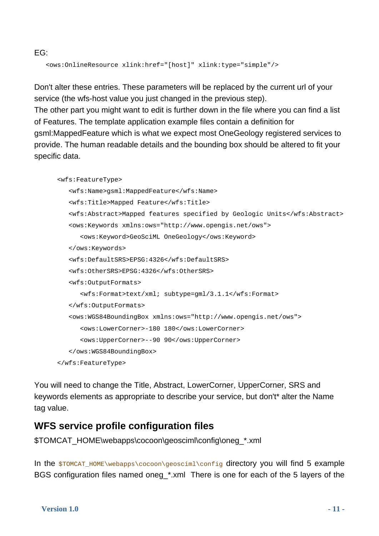EG:

```
 <ows:OnlineResource xlink:href="[host]" xlink:type="simple"/>
```
Don't alter these entries. These parameters will be replaced by the current url of your service (the wfs-host value you just changed in the previous step).

The other part you might want to edit is further down in the file where you can find a list of Features. The template application example files contain a definition for

gsml:MappedFeature which is what we expect most OneGeology registered services to provide. The human readable details and the bounding box should be altered to fit your specific data.

```
 <wfs:FeatureType> 
    <wfs:Name>gsml:MappedFeature</wfs:Name> 
    <wfs:Title>Mapped Feature</wfs:Title> 
    <wfs:Abstract>Mapped features specified by Geologic Units</wfs:Abstract> 
    <ows:Keywords xmlns:ows="http://www.opengis.net/ows"> 
       <ows:Keyword>GeoSciML OneGeology</ows:Keyword> 
    </ows:Keywords> 
    <wfs:DefaultSRS>EPSG:4326</wfs:DefaultSRS> 
    <wfs:OtherSRS>EPSG:4326</wfs:OtherSRS> 
    <wfs:OutputFormats> 
       <wfs:Format>text/xml; subtype=gml/3.1.1</wfs:Format> 
    </wfs:OutputFormats> 
    <ows:WGS84BoundingBox xmlns:ows="http://www.opengis.net/ows"> 
       <ows:LowerCorner>-180 180</ows:LowerCorner> 
       <ows:UpperCorner>--90 90</ows:UpperCorner> 
    </ows:WGS84BoundingBox> 
 </wfs:FeatureType>
```
You will need to change the Title, Abstract, LowerCorner, UpperCorner, SRS and keywords elements as appropriate to describe your service, but don't\* alter the Name tag value.

### **WFS service profile configuration files**

\$TOMCAT\_HOME\webapps\cocoon\geosciml\config\oneg\_\*.xml

In the \$TOMCAT\_HOME\webapps\cocoon\geosciml\config directory you will find 5 example BGS configuration files named oneg\_\*.xml There is one for each of the 5 layers of the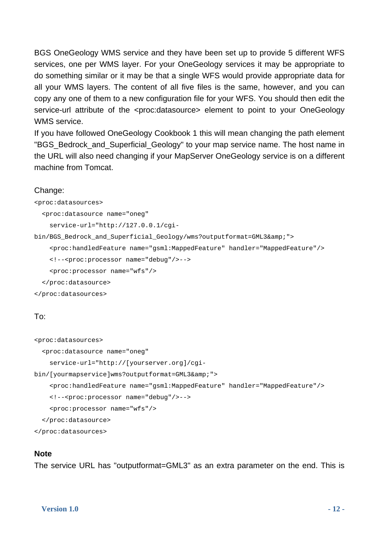BGS OneGeology WMS service and they have been set up to provide 5 different WFS services, one per WMS layer. For your OneGeology services it may be appropriate to do something similar or it may be that a single WFS would provide appropriate data for all your WMS layers. The content of all five files is the same, however, and you can copy any one of them to a new configuration file for your WFS. You should then edit the service-url attribute of the <proc:datasource> element to point to your OneGeology WMS service.

If you have followed OneGeology Cookbook 1 this will mean changing the path element "BGS\_Bedrock\_and\_Superficial\_Geology" to your map service name. The host name in the URL will also need changing if your MapServer OneGeology service is on a different machine from Tomcat.

#### Change:

<proc:datasources>

```
 <proc:datasource name="oneg"
```

```
 service-url="http://127.0.0.1/cgi-
```

```
bin/BGS Bedrock and Superficial Geology/wms?outputformat=GML3&">
```

```
 <proc:handledFeature name="gsml:MappedFeature" handler="MappedFeature"/>
```

```
 <!--<proc:processor name="debug"/>-->
```

```
 <proc:processor name="wfs"/>
```

```
 </proc:datasource>
```

```
</proc:datasources>
```
### To:

<proc:datasources>

<proc:datasource name="oneg"

```
 service-url="http://[yourserver.org]/cgi-
```
bin/[yourmapservice]wms?outputformat=GML3&">

```
 <proc:handledFeature name="gsml:MappedFeature" handler="MappedFeature"/>
```

```
 <!--<proc:processor name="debug"/>-->
```

```
 <proc:processor name="wfs"/>
```
</proc:datasource>

</proc:datasources>

### **Note**

The service URL has "outputformat=GML3" as an extra parameter on the end. This is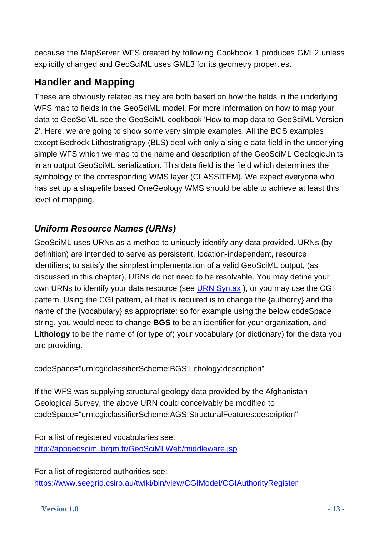because the MapServer WFS created by following Cookbook 1 produces GML2 unless explicitly changed and GeoSciML uses GML3 for its geometry properties.

### **Handler and Mapping**

These are obviously related as they are both based on how the fields in the underlying WFS map to fields in the GeoSciML model. For more information on how to map your data to GeoSciML see the GeoSciML cookbook 'How to map data to GeoSciML Version 2'. Here, we are going to show some very simple examples. All the BGS examples except Bedrock Lithostratigrapy (BLS) deal with only a single data field in the underlying simple WFS which we map to the name and description of the GeoSciML GeologicUnits in an output GeoSciML serialization. This data field is the field which determines the symbology of the corresponding WMS layer (CLASSITEM). We expect everyone who has set up a shapefile based OneGeology WMS should be able to achieve at least this level of mapping.

### *Uniform Resource Names (URNs)*

GeoSciML uses URNs as a method to uniquely identify any data provided. URNs (by definition) are intended to serve as persistent, location-independent, resource identifiers; to satisfy the simplest implementation of a valid GeoSciML output, (as discussed in this chapter), URNs do not need to be resolvable. You may define your own URNs to identify your data resource (see URN Syntax ), or you may use the CGI pattern. Using the CGI pattern, all that is required is to change the {authority} and the name of the {vocabulary} as appropriate; so for example using the below codeSpace string, you would need to change **BGS** to be an identifier for your organization, and **Lithology** to be the name of (or type of) your vocabulary (or dictionary) for the data you are providing.

codeSpace="urn:cgi:classifierScheme:BGS:Lithology:description"

If the WFS was supplying structural geology data provided by the Afghanistan Geological Survey, the above URN could conceivably be modified to codeSpace="urn:cgi:classifierScheme:AGS:StructuralFeatures:description"

For a list of registered vocabularies see: http://appgeosciml.brgm.fr/GeoSciMLWeb/middleware.jsp

For a list of registered authorities see: https://www.seegrid.csiro.au/twiki/bin/view/CGIModel/CGIAuthorityRegister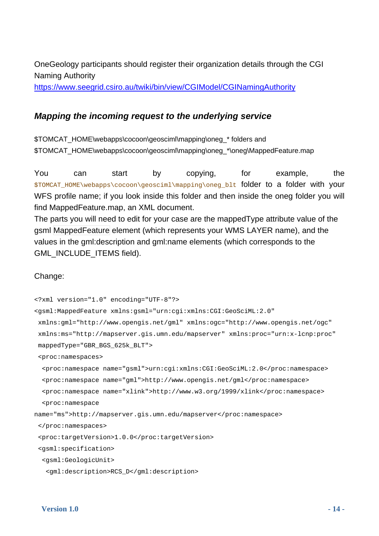OneGeology participants should register their organization details through the CGI Naming Authority

https://www.seegrid.csiro.au/twiki/bin/view/CGIModel/CGINamingAuthority

### *Mapping the incoming request to the underlying service*

\$TOMCAT\_HOME\webapps\cocoon\geosciml\mapping\oneg\_\* folders and \$TOMCAT\_HOME\webapps\cocoon\geosciml\mapping\oneg\_\*\oneg\MappedFeature.map

You can start by copying, for example, the \$TOMCAT\_HOME\webapps\cocoon\geosciml\mapping\oneg\_blt folder to a folder with your WFS profile name; if you look inside this folder and then inside the oneg folder you will find MappedFeature.map, an XML document.

The parts you will need to edit for your case are the mappedType attribute value of the gsml MappedFeature element (which represents your WMS LAYER name), and the values in the gml:description and gml:name elements (which corresponds to the GML\_INCLUDE\_ITEMS field).

### Change:

```
<?xml version="1.0" encoding="UTF-8"?> 
<gsml:MappedFeature xmlns:gsml="urn:cgi:xmlns:CGI:GeoSciML:2.0" 
  xmlns:gml="http://www.opengis.net/gml" xmlns:ogc="http://www.opengis.net/ogc" 
  xmlns:ms="http://mapserver.gis.umn.edu/mapserver" xmlns:proc="urn:x-lcnp:proc" 
  mappedType="GBR_BGS_625k_BLT"> 
  <proc:namespaces> 
   <proc:namespace name="gsml">urn:cgi:xmlns:CGI:GeoSciML:2.0</proc:namespace> 
   <proc:namespace name="gml">http://www.opengis.net/gml</proc:namespace> 
   <proc:namespace name="xlink">http://www.w3.org/1999/xlink</proc:namespace> 
   <proc:namespace 
name="ms">http://mapserver.gis.umn.edu/mapserver</proc:namespace> 
  </proc:namespaces> 
  <proc:targetVersion>1.0.0</proc:targetVersion> 
  <gsml:specification> 
   <gsml:GeologicUnit>
```

```
 <gml:description>RCS_D</gml:description>
```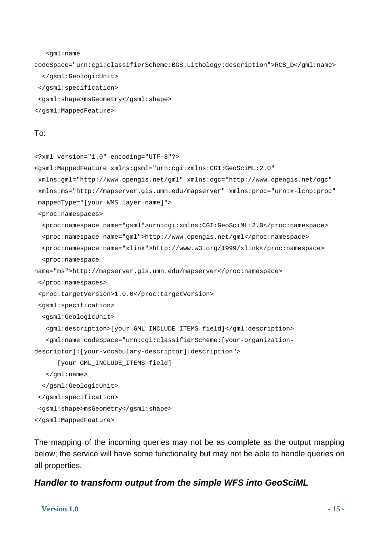```
 <gml:name
```
codeSpace="urn:cgi:classifierScheme:BGS:Lithology:description">RCS\_D</gml:name> </gsml:GeologicUnit>

```
 </gsml:specification>
```
- <gsml:shape>msGeometry</gsml:shape>
- </gsml:MappedFeature>

#### To:

```
<?xml version="1.0" encoding="UTF-8"?> 
<gsml:MappedFeature xmlns:gsml="urn:cgi:xmlns:CGI:GeoSciML:2.0" 
  xmlns:gml="http://www.opengis.net/gml" xmlns:ogc="http://www.opengis.net/ogc" 
  xmlns:ms="http://mapserver.gis.umn.edu/mapserver" xmlns:proc="urn:x-lcnp:proc" 
  mappedType="[your WMS layer name]"> 
  <proc:namespaces> 
   <proc:namespace name="gsml">urn:cgi:xmlns:CGI:GeoSciML:2.0</proc:namespace> 
   <proc:namespace name="gml">http://www.opengis.net/gml</proc:namespace> 
   <proc:namespace name="xlink">http://www.w3.org/1999/xlink</proc:namespace> 
   <proc:namespace 
name="ms">http://mapserver.gis.umn.edu/mapserver</proc:namespace> 
  </proc:namespaces> 
  <proc:targetVersion>1.0.0</proc:targetVersion> 
  <gsml:specification> 
   <gsml:GeologicUnit> 
    <gml:description>[your GML_INCLUDE_ITEMS field]</gml:description> 
    <gml:name codeSpace="urn:cgi:classifierScheme:[your-organization-
descriptor]:[your-vocabulary-descriptor]:description"> 
       [your GML_INCLUDE_ITEMS field] 
    </gml:name> 
   </gsml:GeologicUnit> 
  </gsml:specification> 
  <gsml:shape>msGeometry</gsml:shape> 
</gsml:MappedFeature>
```
The mapping of the incoming queries may not be as complete as the output mapping below; the service will have some functionality but may not be able to handle queries on all properties.

### *Handler to transform output from the simple WFS into GeoSciML*

#### **Version 1.0** - 15 -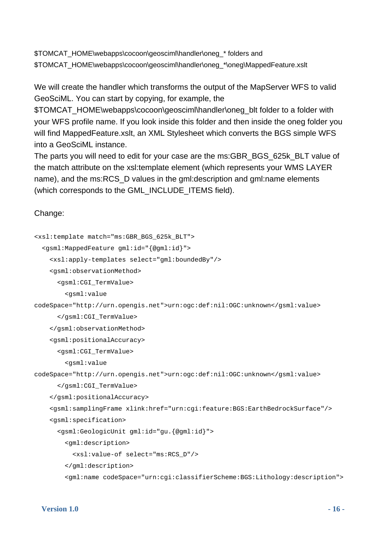\$TOMCAT\_HOME\webapps\cocoon\geosciml\handler\oneg\_\* folders and \$TOMCAT\_HOME\webapps\cocoon\geosciml\handler\oneg\_\*\oneg\MappedFeature.xslt

We will create the handler which transforms the output of the MapServer WFS to valid GeoSciML. You can start by copying, for example, the

\$TOMCAT\_HOME\webapps\cocoon\geosciml\handler\oneg\_blt folder to a folder with your WFS profile name. If you look inside this folder and then inside the oneg folder you will find MappedFeature.xslt, an XML Stylesheet which converts the BGS simple WFS into a GeoSciML instance.

The parts you will need to edit for your case are the ms:GBR\_BGS\_625k\_BLT value of the match attribute on the xsl:template element (which represents your WMS LAYER name), and the ms:RCS\_D values in the gml:description and gml:name elements (which corresponds to the GML\_INCLUDE\_ITEMS field).

### Change:

```
<xsl:template match="ms:GBR_BGS_625k_BLT"> 
   <gsml:MappedFeature gml:id="{@gml:id}"> 
     <xsl:apply-templates select="gml:boundedBy"/> 
     <gsml:observationMethod> 
       <gsml:CGI_TermValue> 
         <gsml:value 
codeSpace="http://urn.opengis.net">urn:ogc:def:nil:OGC:unknown</gsml:value> 
       </gsml:CGI_TermValue> 
     </gsml:observationMethod> 
     <gsml:positionalAccuracy> 
       <gsml:CGI_TermValue> 
         <gsml:value 
codeSpace="http://urn.opengis.net">urn:ogc:def:nil:OGC:unknown</gsml:value> 
       </gsml:CGI_TermValue> 
     </gsml:positionalAccuracy> 
     <gsml:samplingFrame xlink:href="urn:cgi:feature:BGS:EarthBedrockSurface"/> 
     <gsml:specification> 
       <gsml:GeologicUnit gml:id="gu.{@gml:id}"> 
         <gml:description> 
           <xsl:value-of select="ms:RCS_D"/> 
         </gml:description> 
         <gml:name codeSpace="urn:cgi:classifierScheme:BGS:Lithology:description">
```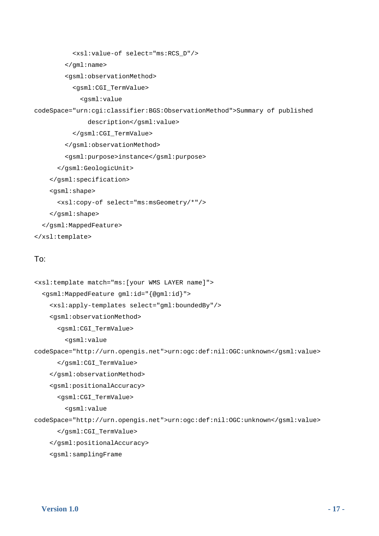```
 <xsl:value-of select="ms:RCS_D"/>
```

```
 </gml:name>
```

```
 <gsml:observationMethod>
```

```
 <gsml:CGI_TermValue>
```
<gsml:value

codeSpace="urn:cgi:classifier:BGS:ObservationMethod">Summary of published

```
 description</gsml:value> 
         </gsml:CGI_TermValue> 
       </gsml:observationMethod> 
       <gsml:purpose>instance</gsml:purpose> 
     </gsml:GeologicUnit> 
   </gsml:specification> 
   <gsml:shape> 
     <xsl:copy-of select="ms:msGeometry/*"/> 
   </gsml:shape> 
 </gsml:MappedFeature>
```
</xsl:template>

### To:

```
<xsl:template match="ms:[your WMS LAYER name]"> 
   <gsml:MappedFeature gml:id="{@gml:id}"> 
     <xsl:apply-templates select="gml:boundedBy"/> 
     <gsml:observationMethod> 
       <gsml:CGI_TermValue> 
         <gsml:value 
codeSpace="http://urn.opengis.net">urn:ogc:def:nil:OGC:unknown</gsml:value> 
       </gsml:CGI_TermValue> 
     </gsml:observationMethod> 
     <gsml:positionalAccuracy> 
       <gsml:CGI_TermValue> 
         <gsml:value 
codeSpace="http://urn.opengis.net">urn:ogc:def:nil:OGC:unknown</gsml:value> 
       </gsml:CGI_TermValue> 
     </gsml:positionalAccuracy> 
     <gsml:samplingFrame
```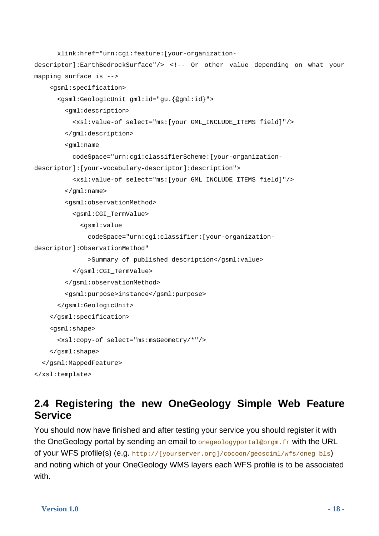```
 xlink:href="urn:cgi:feature:[your-organization-
descriptor]:EarthBedrockSurface"/> <!-- Or other value depending on what your 
mapping surface is --> 
     <gsml:specification> 
       <gsml:GeologicUnit gml:id="gu.{@gml:id}"> 
         <gml:description> 
           <xsl:value-of select="ms:[your GML_INCLUDE_ITEMS field]"/> 
         </gml:description> 
         <gml:name 
           codeSpace="urn:cgi:classifierScheme:[your-organization-
descriptor]:[your-vocabulary-descriptor]:description"> 
           <xsl:value-of select="ms:[your GML_INCLUDE_ITEMS field]"/> 
         </gml:name> 
         <gsml:observationMethod> 
           <gsml:CGI_TermValue> 
             <gsml:value 
               codeSpace="urn:cgi:classifier:[your-organization-
descriptor]:ObservationMethod" 
                >Summary of published description</gsml:value> 
           </gsml:CGI_TermValue> 
         </gsml:observationMethod> 
         <gsml:purpose>instance</gsml:purpose> 
       </gsml:GeologicUnit> 
     </gsml:specification> 
     <gsml:shape> 
       <xsl:copy-of select="ms:msGeometry/*"/> 
     </gsml:shape> 
   </gsml:MappedFeature> 
</xsl:template>
```
### <span id="page-17-0"></span>**2.4 Registering the new OneGeology Simple Web Feature Service**

You should now have finished and after testing your service you should register it with the OneGeology portal by sending an email to onegeologyportal@brgm.fr with the URL of your WFS profile(s) (e.g. http://[yourserver.org]/cocoon/geosciml/wfs/oneg\_bls) and noting which of your OneGeology WMS layers each WFS profile is to be associated with.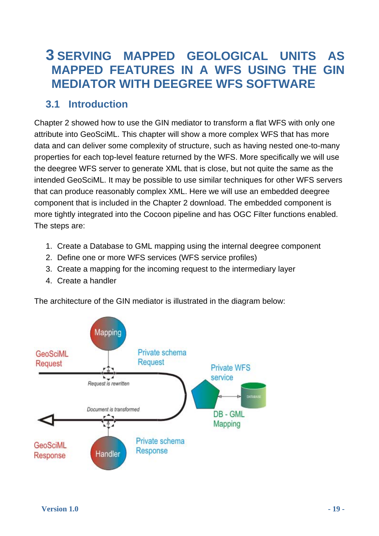### <span id="page-18-0"></span>**3 SERVING MAPPED GEOLOGICAL UNITS AS MAPPED FEATURES IN A WFS USING THE GIN MEDIATOR WITH DEEGREE WFS SOFTWARE**

### **3.1 Introduction**

<span id="page-18-1"></span>Chapter 2 showed how to use the GIN mediator to transform a flat WFS with only one attribute into GeoSciML. This chapter will show a more complex WFS that has more data and can deliver some complexity of structure, such as having nested one-to-many properties for each top-level feature returned by the WFS. More specifically we will use the deegree WFS server to generate XML that is close, but not quite the same as the intended GeoSciML. It may be possible to use similar techniques for other WFS servers that can produce reasonably complex XML. Here we will use an embedded deegree component that is included in the Chapter 2 download. The embedded component is more tightly integrated into the Cocoon pipeline and has OGC Filter functions enabled. The steps are:

- 1. Create a Database to GML mapping using the internal deegree component
- 2. Define one or more WFS services (WFS service profiles)
- 3. Create a mapping for the incoming request to the intermediary layer
- 4. Create a handler

The architecture of the GIN mediator is illustrated in the diagram below:

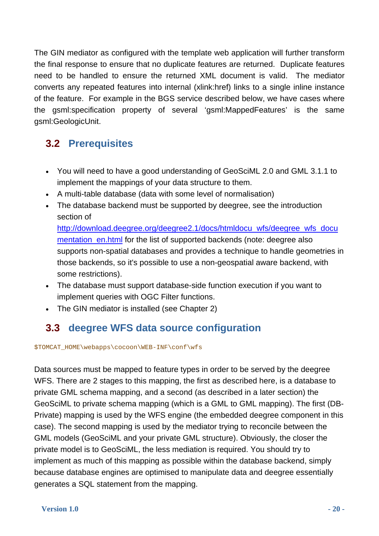The GIN mediator as configured with the template web application will further transform the final response to ensure that no duplicate features are returned. Duplicate features need to be handled to ensure the returned XML document is valid. The mediator converts any repeated features into internal (xlink:href) links to a single inline instance of the feature. For example in the BGS service described below, we have cases where the gsml:specification property of several 'gsml:MappedFeatures' is the same gsml:GeologicUnit.

### **3.2 Prerequisites**

- You will need to have a good understanding of GeoSciML 2.0 and GML 3.1.1 to implement the mappings of your data structure to them.
- A multi-table database (data with some level of normalisation)
- The database backend must be supported by deegree, see the introduction section of

http://download.deegree.org/deegree2.1/docs/htmldocu\_wfs/deegree\_wfs\_docu mentation\_en.html for the list of supported backends (note: deegree also supports non-spatial databases and provides a technique to handle geometries in those backends, so it's possible to use a non-geospatial aware backend, with some restrictions).

- The database must support database-side function execution if you want to implement queries with OGC Filter functions.
- The GIN mediator is installed (see Chapter 2)

### **3.3 deegree WFS data source configuration**

<span id="page-19-0"></span>\$TOMCAT\_HOME\webapps\cocoon\WEB-INF\conf\wfs

Data sources must be mapped to feature types in order to be served by the deegree WFS. There are 2 stages to this mapping, the first as described here, is a database to private GML schema mapping, and a second (as described in a later section) the GeoSciML to private schema mapping (which is a GML to GML mapping). The first (DB-Private) mapping is used by the WFS engine (the embedded deegree component in this case). The second mapping is used by the mediator trying to reconcile between the GML models (GeoSciML and your private GML structure). Obviously, the closer the private model is to GeoSciML, the less mediation is required. You should try to implement as much of this mapping as possible within the database backend, simply because database engines are optimised to manipulate data and deegree essentially generates a SQL statement from the mapping.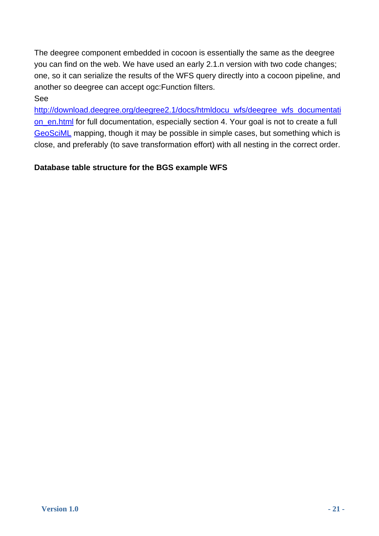The deegree component embedded in cocoon is essentially the same as the deegree you can find on the web. We have used an early 2.1.n version with two code changes; one, so it can serialize the results of the WFS query directly into a cocoon pipeline, and another so deegree can accept ogc:Function filters.

### See

http://download.deegree.org/deegree2.1/docs/htmldocu\_wfs/deegree\_wfs\_documentati on\_en.html for full documentation, especially section 4. Your goal is not to create a full GeoSciML mapping, though it may be possible in simple cases, but something which is close, and preferably (to save transformation effort) with all nesting in the correct order.

### **Database table structure for the BGS example WFS**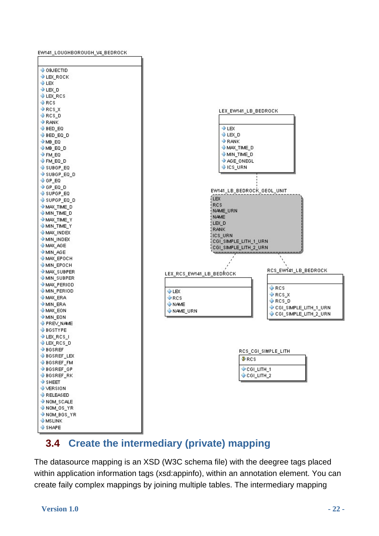

### **3.4 Create the intermediary (private) mapping**

<span id="page-21-0"></span>The datasource mapping is an XSD (W3C schema file) with the deegree tags placed within application information tags (xsd:appinfo), within an annotation element. You can create faily complex mappings by joining multiple tables. The intermediary mapping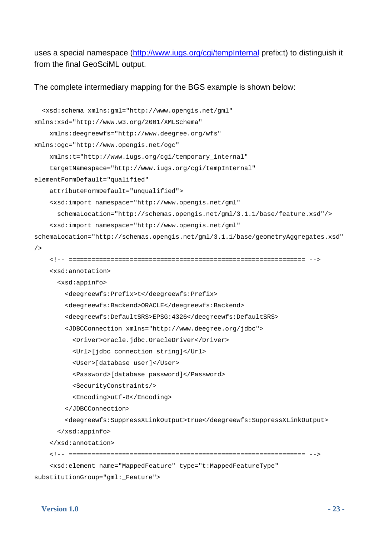uses a special namespace (http://www.iugs.org/cgi/tempInternal prefix:t) to distinguish it from the final GeoSciML output.

The complete intermediary mapping for the BGS example is shown below:

```
 <xsd:schema xmlns:gml="http://www.opengis.net/gml" 
xmlns:xsd="http://www.w3.org/2001/XMLSchema" 
     xmlns:deegreewfs="http://www.deegree.org/wfs" 
xmlns:ogc="http://www.opengis.net/ogc" 
     xmlns:t="http://www.iugs.org/cgi/temporary_internal" 
     targetNamespace="http://www.iugs.org/cgi/tempInternal" 
elementFormDefault="qualified"
     attributeFormDefault="unqualified"> 
     <xsd:import namespace="http://www.opengis.net/gml" 
       schemaLocation="http://schemas.opengis.net/gml/3.1.1/base/feature.xsd"/> 
     <xsd:import namespace="http://www.opengis.net/gml" 
schemaLocation="http://schemas.opengis.net/gml/3.1.1/base/geometryAggregates.xsd"
/ <!-- ============================================================== --> 
     <xsd:annotation> 
       <xsd:appinfo> 
         <deegreewfs:Prefix>t</deegreewfs:Prefix> 
         <deegreewfs:Backend>ORACLE</deegreewfs:Backend> 
         <deegreewfs:DefaultSRS>EPSG:4326</deegreewfs:DefaultSRS> 
         <JDBCConnection xmlns="http://www.deegree.org/jdbc"> 
           <Driver>oracle.jdbc.OracleDriver</Driver> 
           <Url>[jdbc connection string]</Url> 
           <User>[database user]</User> 
           <Password>[database password]</Password> 
           <SecurityConstraints/> 
           <Encoding>utf-8</Encoding> 
         </JDBCConnection> 
         <deegreewfs:SuppressXLinkOutput>true</deegreewfs:SuppressXLinkOutput> 
       </xsd:appinfo> 
     </xsd:annotation> 
     <!-- ============================================================== --> 
     <xsd:element name="MappedFeature" type="t:MappedFeatureType" 
substitutionGroup="gml:_Feature">
```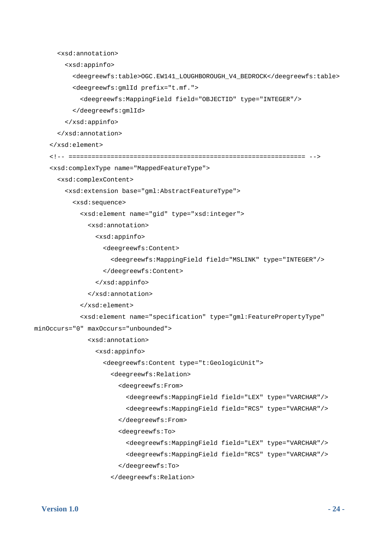```
 <xsd:annotation> 
         <xsd:appinfo> 
           <deegreewfs:table>OGC.EW141_LOUGHBOROUGH_V4_BEDROCK</deegreewfs:table> 
           <deegreewfs:gmlId prefix="t.mf."> 
              <deegreewfs:MappingField field="OBJECTID" type="INTEGER"/> 
           </deegreewfs:gmlId> 
         </xsd:appinfo> 
       </xsd:annotation> 
     </xsd:element> 
     <!-- ============================================================== --> 
     <xsd:complexType name="MappedFeatureType"> 
       <xsd:complexContent> 
         <xsd:extension base="gml:AbstractFeatureType"> 
           <xsd:sequence> 
              <xsd:element name="gid" type="xsd:integer"> 
                <xsd:annotation> 
                  <xsd:appinfo> 
                    <deegreewfs:Content> 
                      <deegreewfs:MappingField field="MSLINK" type="INTEGER"/> 
                    </deegreewfs:Content> 
                  </xsd:appinfo> 
                </xsd:annotation> 
              </xsd:element> 
              <xsd:element name="specification" type="gml:FeaturePropertyType" 
minOccurs="0" maxOccurs="unbounded"> 
                <xsd:annotation> 
                  <xsd:appinfo> 
                    <deegreewfs:Content type="t:GeologicUnit"> 
                      <deegreewfs:Relation> 
                        <deegreewfs:From> 
                           <deegreewfs:MappingField field="LEX" type="VARCHAR"/> 
                           <deegreewfs:MappingField field="RCS" type="VARCHAR"/> 
                        </deegreewfs:From> 
                         <deegreewfs:To> 
                           <deegreewfs:MappingField field="LEX" type="VARCHAR"/> 
                           <deegreewfs:MappingField field="RCS" type="VARCHAR"/> 
                         </deegreewfs:To>
```

```
 </deegreewfs:Relation>
```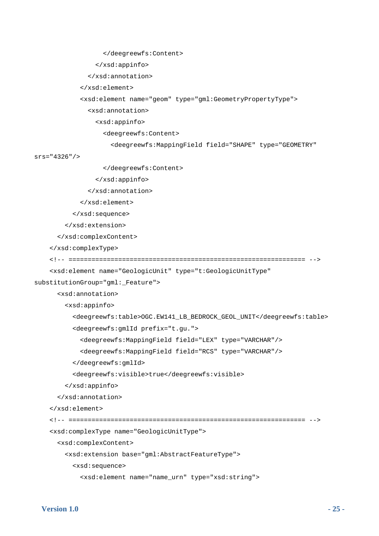```
 </deegreewfs:Content> 
                  </xsd:appinfo> 
                </xsd:annotation> 
              </xsd:element> 
              <xsd:element name="geom" type="gml:GeometryPropertyType"> 
                <xsd:annotation> 
                  <xsd:appinfo> 
                    <deegreewfs:Content> 
                      <deegreewfs:MappingField field="SHAPE" type="GEOMETRY" 
srs="4326"/> 
                    </deegreewfs:Content> 
                  </xsd:appinfo> 
                </xsd:annotation> 
              </xsd:element> 
           </xsd:sequence> 
         </xsd:extension> 
       </xsd:complexContent> 
     </xsd:complexType> 
     <!-- ============================================================== --> 
     <xsd:element name="GeologicUnit" type="t:GeologicUnitType" 
substitutionGroup="gml:_Feature"> 
       <xsd:annotation> 
         <xsd:appinfo> 
           <deegreewfs:table>OGC.EW141_LB_BEDROCK_GEOL_UNIT</deegreewfs:table> 
           <deegreewfs:gmlId prefix="t.gu."> 
              <deegreewfs:MappingField field="LEX" type="VARCHAR"/> 
              <deegreewfs:MappingField field="RCS" type="VARCHAR"/> 
           </deegreewfs:gmlId> 
           <deegreewfs:visible>true</deegreewfs:visible> 
         </xsd:appinfo> 
       </xsd:annotation> 
     </xsd:element> 
     <!-- ============================================================== --> 
     <xsd:complexType name="GeologicUnitType"> 
       <xsd:complexContent> 
         <xsd:extension base="gml:AbstractFeatureType"> 
           <xsd:sequence>
```

```
 <xsd:element name="name_urn" type="xsd:string">
```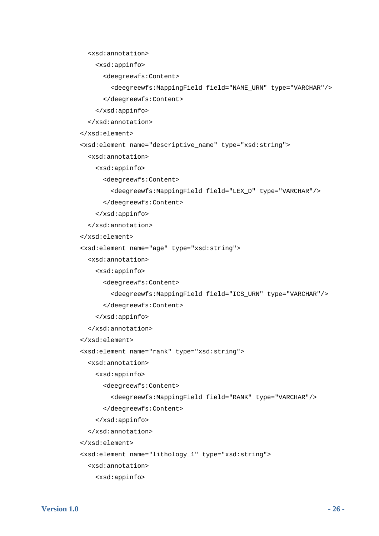<xsd:annotation>

```
 <xsd:appinfo>
```
<deegreewfs:Content>

```
 <deegreewfs:MappingField field="NAME_URN" type="VARCHAR"/>
```
</deegreewfs:Content>

</xsd:appinfo>

</xsd:annotation>

```
 </xsd:element>
```
<xsd:element name="descriptive\_name" type="xsd:string">

<xsd:annotation>

<xsd:appinfo>

<deegreewfs:Content>

```
 <deegreewfs:MappingField field="LEX_D" type="VARCHAR"/>
```
</deegreewfs:Content>

</xsd:appinfo>

</xsd:annotation>

</xsd:element>

<xsd:element name="age" type="xsd:string">

<xsd:annotation>

<xsd:appinfo>

<deegreewfs:Content>

<deegreewfs:MappingField field="ICS\_URN" type="VARCHAR"/>

</deegreewfs:Content>

```
 </xsd:appinfo>
```
</xsd:annotation>

```
 </xsd:element>
```
<xsd:element name="rank" type="xsd:string">

<xsd:annotation>

```
 <xsd:appinfo>
```
<deegreewfs:Content>

```
 <deegreewfs:MappingField field="RANK" type="VARCHAR"/>
```
</deegreewfs:Content>

```
 </xsd:appinfo>
```
</xsd:annotation>

</xsd:element>

<xsd:element name="lithology\_1" type="xsd:string">

<xsd:annotation>

<xsd:appinfo>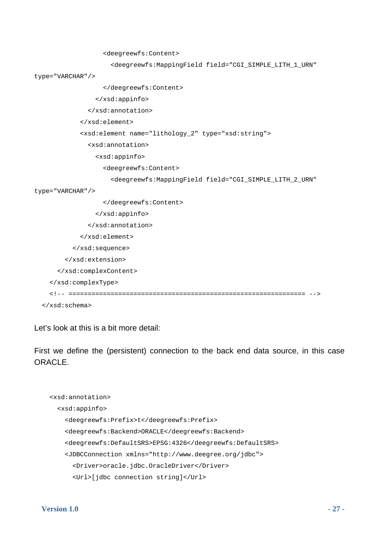```
 <deegreewfs:Content> 
                       <deegreewfs:MappingField field="CGI_SIMPLE_LITH_1_URN" 
type="VARCHAR"/> 
                    </deegreewfs:Content> 
                  </xsd:appinfo> 
                </xsd:annotation> 
              </xsd:element> 
              <xsd:element name="lithology_2" type="xsd:string"> 
                <xsd:annotation> 
                  <xsd:appinfo> 
                    <deegreewfs:Content> 
                       <deegreewfs:MappingField field="CGI_SIMPLE_LITH_2_URN" 
type="VARCHAR"/> 
                    </deegreewfs:Content> 
                  </xsd:appinfo> 
                </xsd:annotation> 
              </xsd:element> 
            </xsd:sequence> 
         </xsd:extension> 
       </xsd:complexContent> 
     </xsd:complexType> 
     <!-- ============================================================== --> 
   </xsd:schema>
```
Let's look at this is a bit more detail:

First we define the (persistent) connection to the back end data source, in this case ORACLE.

```
 <xsd:annotation> 
   <xsd:appinfo> 
     <deegreewfs:Prefix>t</deegreewfs:Prefix> 
     <deegreewfs:Backend>ORACLE</deegreewfs:Backend> 
     <deegreewfs:DefaultSRS>EPSG:4326</deegreewfs:DefaultSRS> 
     <JDBCConnection xmlns="http://www.deegree.org/jdbc"> 
       <Driver>oracle.jdbc.OracleDriver</Driver> 
       <Url>[jdbc connection string]</Url>
```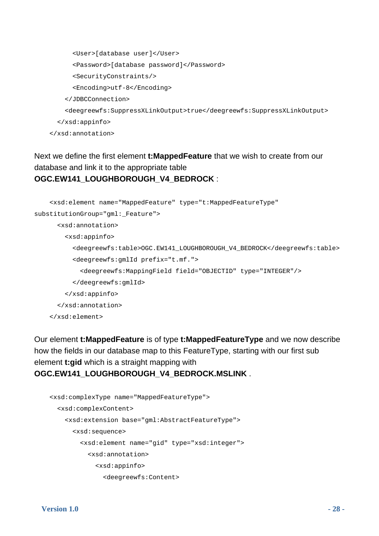```
 <User>[database user]</User> 
       <Password>[database password]</Password> 
       <SecurityConstraints/> 
       <Encoding>utf-8</Encoding> 
     </JDBCConnection> 
     <deegreewfs:SuppressXLinkOutput>true</deegreewfs:SuppressXLinkOutput> 
   </xsd:appinfo> 
 </xsd:annotation>
```
### Next we define the first element **t:MappedFeature** that we wish to create from our database and link it to the appropriate table **OGC.EW141\_LOUGHBOROUGH\_V4\_BEDROCK** :

```
 <xsd:element name="MappedFeature" type="t:MappedFeatureType" 
substitutionGroup="gml:_Feature"> 
       <xsd:annotation> 
         <xsd:appinfo> 
           <deegreewfs:table>OGC.EW141_LOUGHBOROUGH_V4_BEDROCK</deegreewfs:table> 
           <deegreewfs:gmlId prefix="t.mf."> 
              <deegreewfs:MappingField field="OBJECTID" type="INTEGER"/> 
           </deegreewfs:gmlId> 
         </xsd:appinfo> 
       </xsd:annotation> 
     </xsd:element>
```
Our element **t:MappedFeature** is of type **t:MappedFeatureType** and we now describe how the fields in our database map to this FeatureType, starting with our first sub element **t:gid** which is a straight mapping with **OGC.EW141\_LOUGHBOROUGH\_V4\_BEDROCK.MSLINK** .

```
 <xsd:complexType name="MappedFeatureType"> 
   <xsd:complexContent> 
     <xsd:extension base="gml:AbstractFeatureType"> 
       <xsd:sequence> 
         <xsd:element name="gid" type="xsd:integer"> 
           <xsd:annotation> 
              <xsd:appinfo> 
                <deegreewfs:Content>
```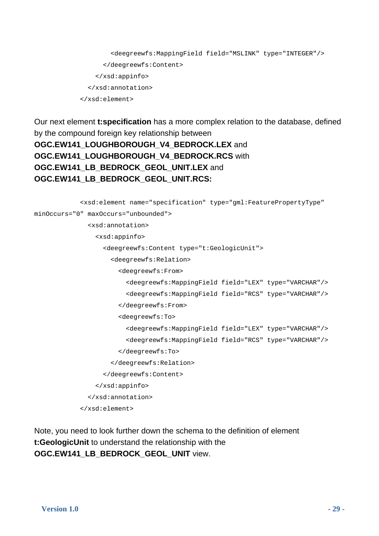```
 <deegreewfs:MappingField field="MSLINK" type="INTEGER"/> 
       </deegreewfs:Content> 
     </xsd:appinfo> 
   </xsd:annotation> 
 </xsd:element>
```
Our next element **t:specification** has a more complex relation to the database, defined by the compound foreign key relationship between **OGC.EW141\_LOUGHBOROUGH\_V4\_BEDROCK.LEX** and **OGC.EW141\_LOUGHBOROUGH\_V4\_BEDROCK.RCS** with **OGC.EW141\_LB\_BEDROCK\_GEOL\_UNIT.LEX** and **OGC.EW141\_LB\_BEDROCK\_GEOL\_UNIT.RCS:**

```
 <xsd:element name="specification" type="gml:FeaturePropertyType" 
minOccurs="0" maxOccurs="unbounded"> 
                <xsd:annotation> 
                  <xsd:appinfo> 
                    <deegreewfs:Content type="t:GeologicUnit"> 
                      <deegreewfs:Relation> 
                        <deegreewfs:From> 
                           <deegreewfs:MappingField field="LEX" type="VARCHAR"/> 
                           <deegreewfs:MappingField field="RCS" type="VARCHAR"/> 
                        </deegreewfs:From> 
                        <deegreewfs:To> 
                           <deegreewfs:MappingField field="LEX" type="VARCHAR"/> 
                           <deegreewfs:MappingField field="RCS" type="VARCHAR"/> 
                         </deegreewfs:To> 
                      </deegreewfs:Relation> 
                    </deegreewfs:Content> 
                  </xsd:appinfo> 
                </xsd:annotation> 
              </xsd:element>
```
Note, you need to look further down the schema to the definition of element **t:GeologicUnit** to understand the relationship with the **OGC.EW141\_LB\_BEDROCK\_GEOL\_UNIT** view.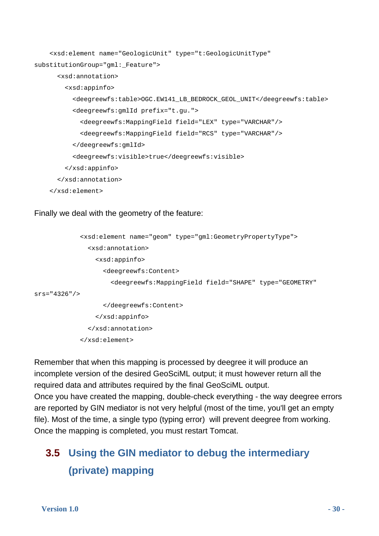```
 <xsd:element name="GeologicUnit" type="t:GeologicUnitType" 
substitutionGroup="gml:_Feature"> 
       <xsd:annotation> 
         <xsd:appinfo> 
           <deegreewfs:table>OGC.EW141_LB_BEDROCK_GEOL_UNIT</deegreewfs:table> 
           <deegreewfs:gmlId prefix="t.gu."> 
             <deegreewfs:MappingField field="LEX" type="VARCHAR"/> 
             <deegreewfs:MappingField field="RCS" type="VARCHAR"/> 
           </deegreewfs:gmlId> 
           <deegreewfs:visible>true</deegreewfs:visible> 
         </xsd:appinfo> 
       </xsd:annotation> 
     </xsd:element>
```
Finally we deal with the geometry of the feature:

```
 <xsd:element name="geom" type="gml:GeometryPropertyType"> 
                <xsd:annotation> 
                  <xsd:appinfo> 
                     <deegreewfs:Content> 
                       <deegreewfs:MappingField field="SHAPE" type="GEOMETRY" 
srs="4326"/> 
                    </deegreewfs:Content> 
                  </xsd:appinfo> 
                </xsd:annotation> 
              </xsd:element>
```
Remember that when this mapping is processed by deegree it will produce an incomplete version of the desired GeoSciML output; it must however return all the required data and attributes required by the final GeoSciML output.

Once you have created the mapping, double-check everything - the way deegree errors are reported by GIN mediator is not very helpful (most of the time, you'll get an empty file). Most of the time, a single typo (typing error) will prevent deegree from working. Once the mapping is completed, you must restart Tomcat.

### <span id="page-29-0"></span>**3.5 Using the GIN mediator to debug the intermediary (private) mapping**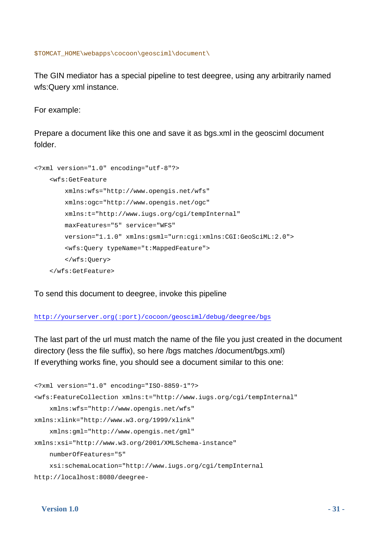\$TOMCAT\_HOME\webapps\cocoon\geosciml\document\

The GIN mediator has a special pipeline to test deegree, using any arbitrarily named wfs:Query xml instance.

For example:

Prepare a document like this one and save it as bgs.xml in the geosciml document folder.

```
<?xml version="1.0" encoding="utf-8"?> 
     <wfs:GetFeature 
         xmlns:wfs="http://www.opengis.net/wfs" 
         xmlns:ogc="http://www.opengis.net/ogc" 
         xmlns:t="http://www.iugs.org/cgi/tempInternal" 
         maxFeatures="5" service="WFS" 
         version="1.1.0" xmlns:gsml="urn:cgi:xmlns:CGI:GeoSciML:2.0"> 
         <wfs:Query typeName="t:MappedFeature"> 
         </wfs:Query> 
     </wfs:GetFeature>
```
To send this document to deegree, invoke this pipeline

http://yourserver.org(:port)/cocoon/geosciml/debug/deegree/bgs

The last part of the url must match the name of the file you just created in the document directory (less the file suffix), so here /bgs matches /document/bgs.xml) If everything works fine, you should see a document similar to this one:

```
<?xml version="1.0" encoding="ISO-8859-1"?> 
<wfs:FeatureCollection xmlns:t="http://www.iugs.org/cgi/tempInternal" 
     xmlns:wfs="http://www.opengis.net/wfs" 
xmlns:xlink="http://www.w3.org/1999/xlink" 
     xmlns:gml="http://www.opengis.net/gml" 
xmlns:xsi="http://www.w3.org/2001/XMLSchema-instance" 
     numberOfFeatures="5" 
     xsi:schemaLocation="http://www.iugs.org/cgi/tempInternal 
http://localhost:8080/deegree-
```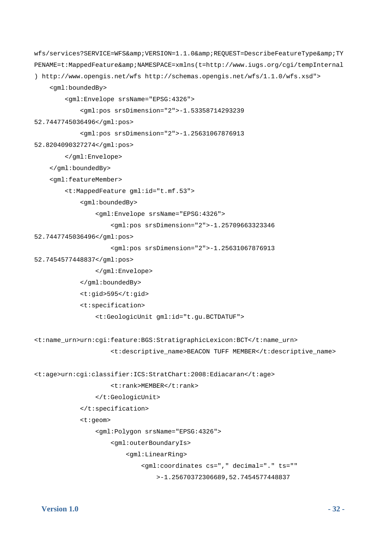```
wfs/services?SERVICE=WFS&VERSION=1.1.0&REQUEST=DescribeFeatureType&TY
PENAME=t:MappedFeature&NAMESPACE=xmlns(t=http://www.iugs.org/cgi/tempInternal
) http://www.opengis.net/wfs http://schemas.opengis.net/wfs/1.1.0/wfs.xsd"> 
     <gml:boundedBy> 
         <gml:Envelope srsName="EPSG:4326"> 
             <gml:pos srsDimension="2">-1.53358714293239 
52.7447745036496</gml:pos> 
             <gml:pos srsDimension="2">-1.25631067876913 
52.8204090327274</gml:pos> 
         </gml:Envelope> 
     </gml:boundedBy> 
     <gml:featureMember> 
         <t:MappedFeature gml:id="t.mf.53"> 
             <gml:boundedBy> 
                  <gml:Envelope srsName="EPSG:4326"> 
                      <gml:pos srsDimension="2">-1.25709663323346 
52.7447745036496</gml:pos> 
                      <gml:pos srsDimension="2">-1.25631067876913 
52.7454577448837</gml:pos> 
                  </gml:Envelope> 
             </gml:boundedBy> 
             <t:gid>595</t:gid> 
             <t:specification> 
                 <t:GeologicUnit gml:id="t.gu.BCTDATUF"> 
<t:name_urn>urn:cgi:feature:BGS:StratigraphicLexicon:BCT</t:name_urn> 
                      <t:descriptive_name>BEACON TUFF MEMBER</t:descriptive_name> 
<t:age>urn:cgi:classifier:ICS:StratChart:2008:Ediacaran</t:age> 
                      <t:rank>MEMBER</t:rank> 
                 </t:GeologicUnit> 
             </t:specification> 
             <t:geom> 
                  <gml:Polygon srsName="EPSG:4326"> 
                      <gml:outerBoundaryIs> 
                          <gml:LinearRing> 
                              <gml:coordinates cs="," decimal="." ts="" 
                                  >-1.25670372306689,52.7454577448837
```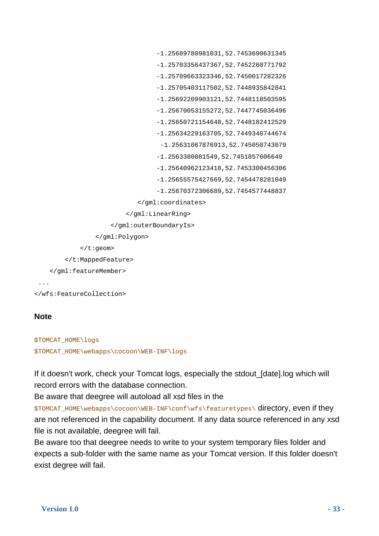```
 -1.25689780981031,52.7453690631345 
                                   -1.25703356437367,52.7452260771792 
                                   -1.25709663323346,52.7450017282326 
                                   -1.25705403117502,52.7448935842841 
                                   -1.25692209903121,52.7448118503595 
                                    -1.25670053155272,52.7447745036496 
                                   -1.25650721154648,52.7448182412529 
                                   -1.25634229163705,52.7449340744674 
                                     -1.25631067876913,52.745050743079 
                                   -1.2563380081549,52.7451857606649 
                                    -1.25640962123418,52.7453300456306 
                                   -1.25655575427669,52.7454478281049 
                                   -1.25670372306689,52.7454577448837 
                              </gml:coordinates> 
                           </gml:LinearRing> 
                      </gml:outerBoundaryIs> 
                  </gml:Polygon> 
              </t:geom> 
         </t:MappedFeature> 
     </gml:featureMember> 
  ... 
</wfs:FeatureCollection>
```
### **Note**

```
$TOMCAT_HOME\logs 
$TOMCAT_HOME\webapps\cocoon\WEB-INF\logs
```
If it doesn't work, check your Tomcat logs, especially the stdout\_[date].log which will record errors with the database connection.

Be aware that deegree will autoload all xsd files in the

\$TOMCAT\_HOME\webapps\cocoon\WEB-INF\conf\wfs\featuretypes\ directory, even if they are not referenced in the capability document. If any data source referenced in any xsd file is not available, deegree will fail.

Be aware too that deegree needs to write to your system temporary files folder and expects a sub-folder with the same name as your Tomcat version. If this folder doesn't exist degree will fail.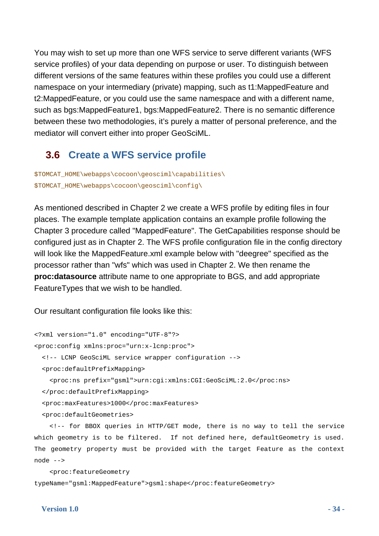You may wish to set up more than one WFS service to serve different variants (WFS service profiles) of your data depending on purpose or user. To distinguish between different versions of the same features within these profiles you could use a different namespace on your intermediary (private) mapping, such as t1:MappedFeature and t2:MappedFeature, or you could use the same namespace and with a different name, such as bgs:MappedFeature1, bgs:MappedFeature2. There is no semantic difference between these two methodologies, it's purely a matter of personal preference, and the mediator will convert either into proper GeoSciML.

### **3.6 Create a WFS service profile**

<span id="page-33-0"></span>\$TOMCAT\_HOME\webapps\cocoon\geosciml\capabilities\ \$TOMCAT\_HOME\webapps\cocoon\geosciml\config\

As mentioned described in Chapter 2 we create a WFS profile by editing files in four places. The example template application contains an example profile following the Chapter 3 procedure called "MappedFeature". The GetCapabilities response should be configured just as in Chapter 2. The WFS profile configuration file in the config directory will look like the MappedFeature.xml example below with "deegree" specified as the processor rather than "wfs" which was used in Chapter 2. We then rename the **proc:datasource** attribute name to one appropriate to BGS, and add appropriate FeatureTypes that we wish to be handled.

Our resultant configuration file looks like this:

```
<?xml version="1.0" encoding="UTF-8"?> 
<proc:config xmlns:proc="urn:x-lcnp:proc"> 
   <!-- LCNP GeoSciML service wrapper configuration --> 
   <proc:defaultPrefixMapping> 
     <proc:ns prefix="gsml">urn:cgi:xmlns:CGI:GeoSciML:2.0</proc:ns> 
   </proc:defaultPrefixMapping> 
   <proc:maxFeatures>1000</proc:maxFeatures> 
   <proc:defaultGeometries> 
     <!-- for BBOX queries in HTTP/GET mode, there is no way to tell the service
```
which geometry is to be filtered. If not defined here, defaultGeometry is used. The geometry property must be provided with the target Feature as the context node -->

 <proc:featureGeometry typeName="gsml:MappedFeature">gsml:shape</proc:featureGeometry>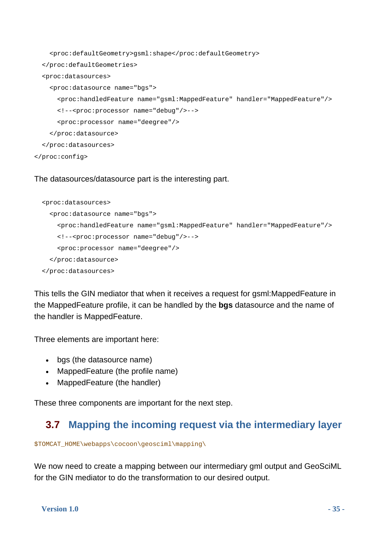```
 <proc:defaultGeometry>gsml:shape</proc:defaultGeometry> 
   </proc:defaultGeometries> 
   <proc:datasources> 
     <proc:datasource name="bgs"> 
       <proc:handledFeature name="gsml:MappedFeature" handler="MappedFeature"/> 
       <!--<proc:processor name="debug"/>--> 
       <proc:processor name="deegree"/> 
     </proc:datasource> 
   </proc:datasources> 
</proc:config>
```
#### The datasources/datasource part is the interesting part.

```
 <proc:datasources> 
   <proc:datasource name="bgs"> 
     <proc:handledFeature name="gsml:MappedFeature" handler="MappedFeature"/> 
     <!--<proc:processor name="debug"/>--> 
     <proc:processor name="deegree"/> 
   </proc:datasource> 
 </proc:datasources>
```
This tells the GIN mediator that when it receives a request for gsml:MappedFeature in the MappedFeature profile, it can be handled by the **bgs** datasource and the name of the handler is MappedFeature.

Three elements are important here:

- bas (the datasource name)
- MappedFeature (the profile name)
- MappedFeature (the handler)

These three components are important for the next step.

### **3.7 Mapping the incoming request via the intermediary layer**

\$TOMCAT\_HOME\webapps\cocoon\geosciml\mapping\

We now need to create a mapping between our intermediary gml output and GeoSciML for the GIN mediator to do the transformation to our desired output.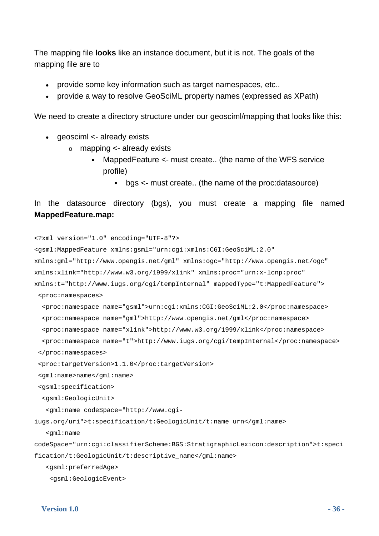The mapping file **looks** like an instance document, but it is not. The goals of the mapping file are to

- provide some key information such as target namespaces, etc..
- provide a way to resolve GeoSciML property names (expressed as XPath)

We need to create a directory structure under our geoscimi/mapping that looks like this:

- qeosciml <- already exists
	- o mapping <- already exists
		- MappedFeature <- must create.. (the name of the WFS service profile)
			- bgs <- must create.. (the name of the proc:datasource)

```
In the datasource directory (bgs), you must create a mapping file named 
MappedFeature.map:
```

```
<?xml version="1.0" encoding="UTF-8"?> 
<gsml:MappedFeature xmlns:gsml="urn:cgi:xmlns:CGI:GeoSciML:2.0" 
xmlns:gml="http://www.opengis.net/gml" xmlns:ogc="http://www.opengis.net/ogc" 
xmlns:xlink="http://www.w3.org/1999/xlink" xmlns:proc="urn:x-lcnp:proc" 
xmlns:t="http://www.iugs.org/cgi/tempInternal" mappedType="t:MappedFeature"> 
  <proc:namespaces> 
   <proc:namespace name="gsml">urn:cgi:xmlns:CGI:GeoSciML:2.0</proc:namespace> 
   <proc:namespace name="gml">http://www.opengis.net/gml</proc:namespace> 
   <proc:namespace name="xlink">http://www.w3.org/1999/xlink</proc:namespace> 
   <proc:namespace name="t">http://www.iugs.org/cgi/tempInternal</proc:namespace> 
  </proc:namespaces> 
  <proc:targetVersion>1.1.0</proc:targetVersion> 
  <gml:name>name</gml:name> 
  <gsml:specification> 
   <gsml:GeologicUnit> 
    <gml:name codeSpace="http://www.cgi-
iugs.org/uri">t:specification/t:GeologicUnit/t:name_urn</gml:name> 
    <gml:name 
codeSpace="urn:cgi:classifierScheme:BGS:StratigraphicLexicon:description">t:speci
fication/t:GeologicUnit/t:descriptive_name</gml:name> 
    <gsml:preferredAge> 
     <gsml:GeologicEvent>
```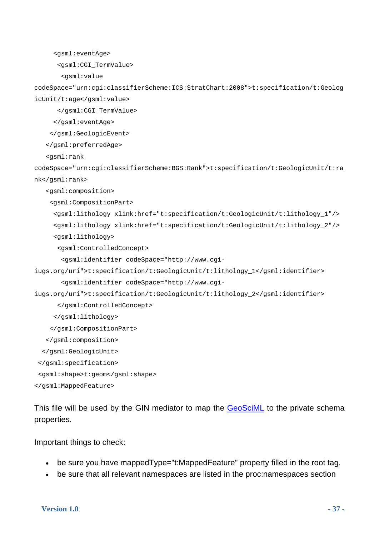```
 <gsml:eventAge>
```
<gsml:CGI\_TermValue>

<gsml:value

codeSpace="urn:cgi:classifierScheme:ICS:StratChart:2008">t:specification/t:Geolog icUnit/t:age</gsml:value>

</gsml:CGI\_TermValue>

</gsml:eventAge>

</gsml:GeologicEvent>

</gsml:preferredAge>

<gsml:rank

codeSpace="urn:cgi:classifierScheme:BGS:Rank">t:specification/t:GeologicUnit/t:ra nk</gsml:rank>

<gsml:composition>

<gsml:CompositionPart>

```
 <gsml:lithology xlink:href="t:specification/t:GeologicUnit/t:lithology_1"/> 
 <gsml:lithology xlink:href="t:specification/t:GeologicUnit/t:lithology_2"/>
```
<gsml:lithology>

<gsml:ControlledConcept>

<gsml:identifier codeSpace="http://www.cgi-

iugs.org/uri">t:specification/t:GeologicUnit/t:lithology\_1</gsml:identifier>

```
 <gsml:identifier codeSpace="http://www.cgi-
```
iugs.org/uri">t:specification/t:GeologicUnit/t:lithology\_2</gsml:identifier>

</gsml:ControlledConcept>

```
 </gsml:lithology>
```
</gsml:CompositionPart>

```
 </gsml:composition>
```

```
 </gsml:GeologicUnit>
```

```
 </gsml:specification>
```

```
 <gsml:shape>t:geom</gsml:shape>
```
</gsml:MappedFeature>

This file will be used by the GIN mediator to map the GeoSciML to the private schema properties.

Important things to check:

- be sure you have mappedType="t:MappedFeature" property filled in the root tag.
- be sure that all relevant namespaces are listed in the proc:namespaces section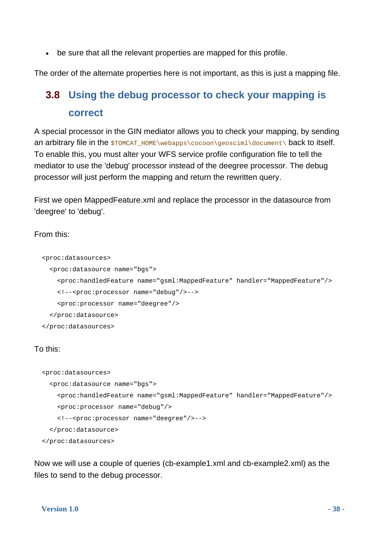be sure that all the relevant properties are mapped for this profile.

<span id="page-37-0"></span>The order of the alternate properties here is not important, as this is just a mapping file.

### **3.8 Using the debug processor to check your mapping is correct**

A special processor in the GIN mediator allows you to check your mapping, by sending an arbitrary file in the  $$TOME\webappa\ccoon\qoccum.$ To enable this, you must alter your WFS service profile configuration file to tell the mediator to use the 'debug' processor instead of the deegree processor. The debug processor will just perform the mapping and return the rewritten query.

First we open MappedFeature.xml and replace the processor in the datasource from 'deegree' to 'debug'.

From this:

```
 <proc:datasources> 
   <proc:datasource name="bgs"> 
     <proc:handledFeature name="gsml:MappedFeature" handler="MappedFeature"/> 
     <!--<proc:processor name="debug"/>--> 
     <proc:processor name="deegree"/> 
   </proc:datasource> 
 </proc:datasources>
```
To this:

```
 <proc:datasources> 
   <proc:datasource name="bgs"> 
     <proc:handledFeature name="gsml:MappedFeature" handler="MappedFeature"/> 
     <proc:processor name="debug"/> 
     <!--<proc:processor name="deegree"/>--> 
   </proc:datasource> 
 </proc:datasources>
```
Now we will use a couple of queries (cb-example1.xml and cb-example2.xml) as the files to send to the debug processor.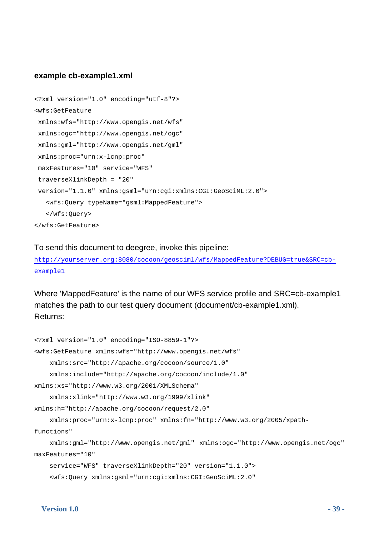#### **example cb-example1.xml**

```
<?xml version="1.0" encoding="utf-8"?> 
<wfs:GetFeature 
 xmlns:wfs="http://www.opengis.net/wfs" 
 xmlns:ogc="http://www.opengis.net/ogc" 
 xmlns:gml="http://www.opengis.net/gml" 
  xmlns:proc="urn:x-lcnp:proc" 
 maxFeatures="10" service="WFS" 
  traverseXlinkDepth = "20" 
  version="1.1.0" xmlns:gsml="urn:cgi:xmlns:CGI:GeoSciML:2.0"> 
    <wfs:Query typeName="gsml:MappedFeature"> 
    </wfs:Query> 
</wfs:GetFeature>
```
#### To send this document to deegree, invoke this pipeline:

http://yourserver.org:8080/cocoon/geosciml/wfs/MappedFeature?DEBUG=true&SRC=cbexample1

Where 'MappedFeature' is the name of our WFS service profile and SRC=cb-example1 matches the path to our test query document (document/cb-example1.xml). Returns:

```
<?xml version="1.0" encoding="ISO-8859-1"?> 
<wfs:GetFeature xmlns:wfs="http://www.opengis.net/wfs" 
     xmlns:src="http://apache.org/cocoon/source/1.0" 
     xmlns:include="http://apache.org/cocoon/include/1.0" 
xmlns:xs="http://www.w3.org/2001/XMLSchema" 
     xmlns:xlink="http://www.w3.org/1999/xlink" 
xmlns:h="http://apache.org/cocoon/request/2.0" 
     xmlns:proc="urn:x-lcnp:proc" xmlns:fn="http://www.w3.org/2005/xpath-
functions" 
     xmlns:gml="http://www.opengis.net/gml" xmlns:ogc="http://www.opengis.net/ogc" 
maxFeatures="10" 
     service="WFS" traverseXlinkDepth="20" version="1.1.0"> 
     <wfs:Query xmlns:gsml="urn:cgi:xmlns:CGI:GeoSciML:2.0"
```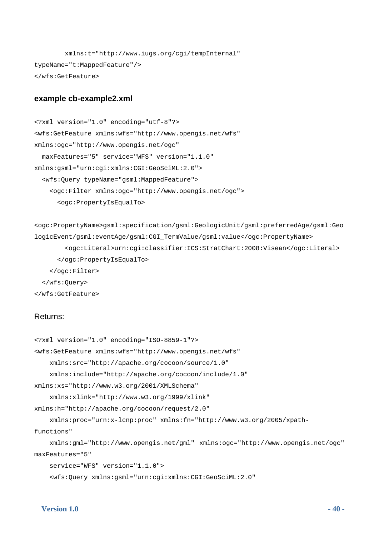```
 xmlns:t="http://www.iugs.org/cgi/tempInternal" 
typeName="t:MappedFeature"/> 
</wfs:GetFeature>
```
#### **example cb-example2.xml**

```
<?xml version="1.0" encoding="utf-8"?> 
<wfs:GetFeature xmlns:wfs="http://www.opengis.net/wfs" 
xmlns:ogc="http://www.opengis.net/ogc" 
   maxFeatures="5" service="WFS" version="1.1.0" 
xmlns:gsml="urn:cgi:xmlns:CGI:GeoSciML:2.0"> 
   <wfs:Query typeName="gsml:MappedFeature"> 
     <ogc:Filter xmlns:ogc="http://www.opengis.net/ogc"> 
       <ogc:PropertyIsEqualTo>
```

```
<ogc:PropertyName>gsml:specification/gsml:GeologicUnit/gsml:preferredAge/gsml:Geo
logicEvent/gsml:eventAge/gsml:CGI_TermValue/gsml:value</ogc:PropertyName> 
         <ogc:Literal>urn:cgi:classifier:ICS:StratChart:2008:Visean</ogc:Literal> 
       </ogc:PropertyIsEqualTo> 
     </ogc:Filter> 
   </wfs:Query> 
</wfs:GetFeature>
```
#### Returns:

```
<?xml version="1.0" encoding="ISO-8859-1"?> 
<wfs:GetFeature xmlns:wfs="http://www.opengis.net/wfs" 
     xmlns:src="http://apache.org/cocoon/source/1.0" 
     xmlns:include="http://apache.org/cocoon/include/1.0" 
xmlns:xs="http://www.w3.org/2001/XMLSchema" 
     xmlns:xlink="http://www.w3.org/1999/xlink" 
xmlns:h="http://apache.org/cocoon/request/2.0" 
     xmlns:proc="urn:x-lcnp:proc" xmlns:fn="http://www.w3.org/2005/xpath-
functions" 
     xmlns:gml="http://www.opengis.net/gml" xmlns:ogc="http://www.opengis.net/ogc" 
maxFeatures="5" 
     service="WFS" version="1.1.0"> 
     <wfs:Query xmlns:gsml="urn:cgi:xmlns:CGI:GeoSciML:2.0"
```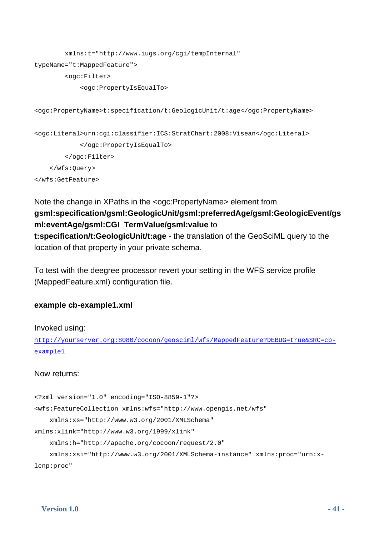```
 xmlns:t="http://www.iugs.org/cgi/tempInternal" 
typeName="t:MappedFeature"> 
         <ogc:Filter> 
             <ogc:PropertyIsEqualTo> 
<ogc:PropertyName>t:specification/t:GeologicUnit/t:age</ogc:PropertyName> 
<ogc:Literal>urn:cgi:classifier:ICS:StratChart:2008:Visean</ogc:Literal> 
             </ogc:PropertyIsEqualTo> 
         </ogc:Filter> 
     </wfs:Query> 
</wfs:GetFeature>
```
### Note the change in XPaths in the <ogc:PropertyName> element from **gsml:specification/gsml:GeologicUnit/gsml:preferredAge/gsml:GeologicEvent/gs ml:eventAge/gsml:CGI\_TermValue/gsml:value** to **t:specification/t:GeologicUnit/t:age** - the translation of the GeoSciML query to the location of that property in your private schema.

To test with the deegree processor revert your setting in the WFS service profile (MappedFeature.xml) configuration file.

### **example cb-example1.xml**

#### Invoked using:

http://yourserver.org:8080/cocoon/geosciml/wfs/MappedFeature?DEBUG=true&SRC=cbexample1

#### Now returns:

```
<?xml version="1.0" encoding="ISO-8859-1"?> 
<wfs:FeatureCollection xmlns:wfs="http://www.opengis.net/wfs" 
     xmlns:xs="http://www.w3.org/2001/XMLSchema" 
xmlns:xlink="http://www.w3.org/1999/xlink" 
     xmlns:h="http://apache.org/cocoon/request/2.0" 
     xmlns:xsi="http://www.w3.org/2001/XMLSchema-instance" xmlns:proc="urn:x-
lcnp:proc"
```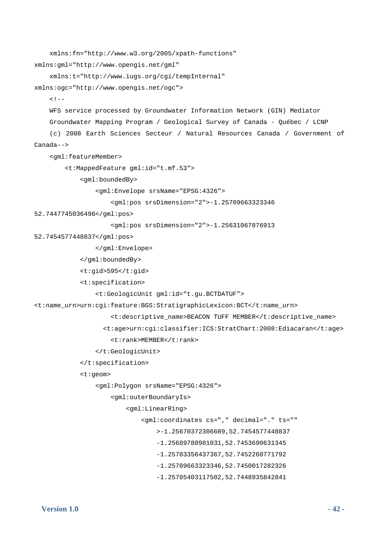```
 xmlns:fn="http://www.w3.org/2005/xpath-functions" 
xmlns:gml="http://www.opengis.net/gml" 
     xmlns:t="http://www.iugs.org/cgi/tempInternal" 
xmlns:ogc="http://www.opengis.net/ogc"> 
    2.1 - 1 WFS service processed by Groundwater Information Network (GIN) Mediator 
     Groundwater Mapping Program / Geological Survey of Canada - Québec / LCNP 
     (c) 2008 Earth Sciences Secteur / Natural Resources Canada / Government of 
Canada--> 
     <gml:featureMember> 
         <t:MappedFeature gml:id="t.mf.53"> 
             <gml:boundedBy> 
                  <gml:Envelope srsName="EPSG:4326"> 
                      <gml:pos srsDimension="2">-1.25709663323346 
52.7447745036496</gml:pos> 
                      <gml:pos srsDimension="2">-1.25631067876913 
52.7454577448837</gml:pos> 
                  </gml:Envelope> 
             </gml:boundedBy> 
             <t:gid>595</t:gid> 
             <t:specification> 
                  <t:GeologicUnit gml:id="t.gu.BCTDATUF"> 
<t:name_urn>urn:cgi:feature:BGS:StratigraphicLexicon:BCT</t:name_urn> 
                      <t:descriptive_name>BEACON TUFF MEMBER</t:descriptive_name> 
                    <t:age>urn:cgi:classifier:ICS:StratChart:2008:Ediacaran</t:age> 
                      <t:rank>MEMBER</t:rank> 
                  </t:GeologicUnit> 
             </t:specification> 
             <t:geom> 
                  <gml:Polygon srsName="EPSG:4326"> 
                      <gml:outerBoundaryIs> 
                          <gml:LinearRing> 
                               <gml:coordinates cs="," decimal="." ts="" 
                                   >-1.25670372306689,52.7454577448837 
                                   -1.25689780981031,52.7453690631345 
                                   -1.25703356437367,52.7452260771792 
                                   -1.25709663323346,52.7450017282326 
                                   -1.25705403117502,52.7448935842841
```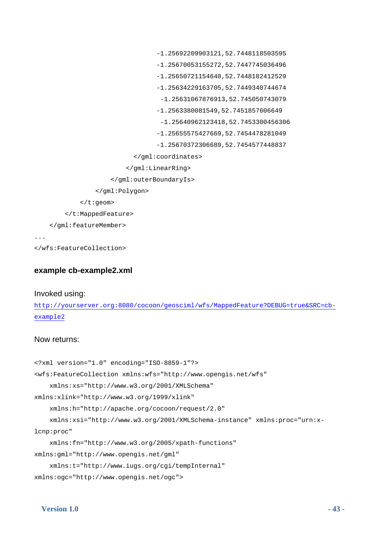```
 -1.25692209903121,52.7448118503595 
                                    -1.25670053155272,52.7447745036496 
                                    -1.25650721154648,52.7448182412529 
                                    -1.25634229163705,52.7449340744674 
                                     -1.25631067876913,52.745050743079 
                                    -1.2563380081549,52.7451857606649 
                                     -1.25640962123418,52.7453300456306 
                                    -1.25655575427669,52.7454478281049 
                                    -1.25670372306689,52.7454577448837 
                             </gml:coordinates> 
                           </gml:LinearRing> 
                      </gml:outerBoundaryIs> 
                  </gml:Polygon> 
             </t:geom> 
         </t:MappedFeature> 
     </gml:featureMember> 
...
```
</wfs:FeatureCollection>

#### **example cb-example2.xml**

#### Invoked using:

http://yourserver.org:8080/cocoon/geosciml/wfs/MappedFeature?DEBUG=true&SRC=cbexample2

#### Now returns:

```
<?xml version="1.0" encoding="ISO-8859-1"?> 
<wfs:FeatureCollection xmlns:wfs="http://www.opengis.net/wfs" 
     xmlns:xs="http://www.w3.org/2001/XMLSchema" 
xmlns:xlink="http://www.w3.org/1999/xlink" 
     xmlns:h="http://apache.org/cocoon/request/2.0" 
     xmlns:xsi="http://www.w3.org/2001/XMLSchema-instance" xmlns:proc="urn:x-
lcnp:proc" 
     xmlns:fn="http://www.w3.org/2005/xpath-functions" 
xmlns:gml="http://www.opengis.net/gml" 
     xmlns:t="http://www.iugs.org/cgi/tempInternal" 
xmlns:ogc="http://www.opengis.net/ogc">
```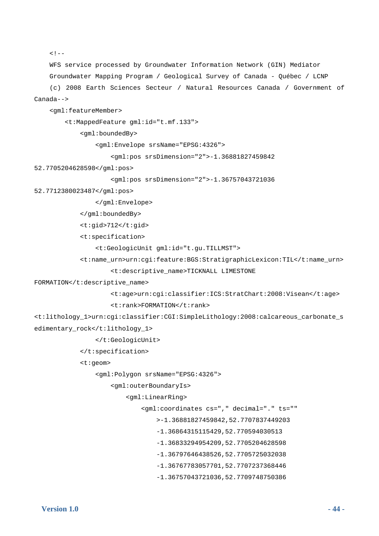```
\leq ! - WFS service processed by Groundwater Information Network (GIN) Mediator 
     Groundwater Mapping Program / Geological Survey of Canada - Québec / LCNP 
     (c) 2008 Earth Sciences Secteur / Natural Resources Canada / Government of 
Canada--> 
     <gml:featureMember> 
         <t:MappedFeature gml:id="t.mf.133"> 
             <gml:boundedBy> 
                  <gml:Envelope srsName="EPSG:4326"> 
                      <gml:pos srsDimension="2">-1.36881827459842 
52.7705204628598</gml:pos> 
                      <gml:pos srsDimension="2">-1.36757043721036 
52.7712380023487</gml:pos> 
                  </gml:Envelope> 
             </gml:boundedBy> 
             <t:gid>712</t:gid> 
             <t:specification> 
                  <t:GeologicUnit gml:id="t.gu.TILLMST"> 
             <t:name_urn>urn:cgi:feature:BGS:StratigraphicLexicon:TIL</t:name_urn> 
                      <t:descriptive_name>TICKNALL LIMESTONE 
FORMATION</t:descriptive_name>
                      <t:age>urn:cgi:classifier:ICS:StratChart:2008:Visean</t:age> 
                      <t:rank>FORMATION</t:rank> 
<t:lithology_1>urn:cgi:classifier:CGI:SimpleLithology:2008:calcareous_carbonate_s
edimentary_rock</t:lithology_1> 
                  </t:GeologicUnit> 
             </t:specification> 
             <t:geom> 
                  <gml:Polygon srsName="EPSG:4326"> 
                      <gml:outerBoundaryIs> 
                          <gml:LinearRing> 
                               <gml:coordinates cs="," decimal="." ts="" 
                                   >-1.36881827459842,52.7707837449203 
                                   -1.36864315115429,52.770594030513 
                                   -1.36833294954209,52.7705204628598 
                                   -1.36797646438526,52.7705725032038 
                                   -1.36767783057701,52.7707237368446
```

```
 -1.36757043721036,52.7709748750386
```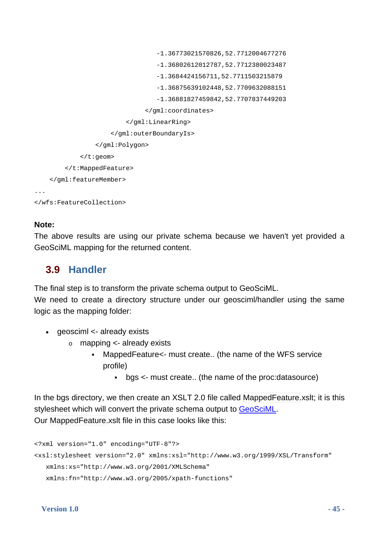```
 -1.36773021570826,52.7712004677276 
                                    -1.36802612012787,52.7712380023487 
                                    -1.3684424156711,52.7711503215879 
                                    -1.36875639102448,52.7709632088151 
                                    -1.36881827459842,52.7707837449203 
                                 </gml:coordinates> 
                           </gml:LinearRing> 
                       </gml:outerBoundaryIs> 
                  </gml:Polygon> 
              </t:geom> 
         </t:MappedFeature> 
     </gml:featureMember> 
... 
</wfs:FeatureCollection>
```
### **Note:**

The above results are using our private schema because we haven't yet provided a GeoSciML mapping for the returned content.

### **3.9 Handler**

<span id="page-44-0"></span>The final step is to transform the private schema output to GeoSciML.

We need to create a directory structure under our geosciml/handler using the same logic as the mapping folder:

- geosciml <- already exists
	- o mapping <- already exists
		- MappedFeature<- must create.. (the name of the WFS service profile)
			- bgs <- must create.. (the name of the proc:datasource)

In the bgs directory, we then create an XSLT 2.0 file called MappedFeature.xslt; it is this stylesheet which will convert the private schema output to GeoSciML. Our MappedFeature.xslt file in this case looks like this:

```
<?xml version="1.0" encoding="UTF-8"?> 
<xsl:stylesheet version="2.0" xmlns:xsl="http://www.w3.org/1999/XSL/Transform" 
    xmlns:xs="http://www.w3.org/2001/XMLSchema" 
   xmlns:fn="http://www.w3.org/2005/xpath-functions"
```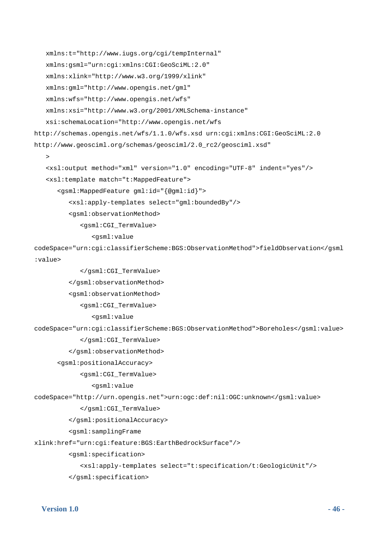```
 xmlns:t="http://www.iugs.org/cgi/tempInternal" 
    xmlns:gsml="urn:cgi:xmlns:CGI:GeoSciML:2.0" 
    xmlns:xlink="http://www.w3.org/1999/xlink" 
    xmlns:gml="http://www.opengis.net/gml" 
    xmlns:wfs="http://www.opengis.net/wfs" 
    xmlns:xsi="http://www.w3.org/2001/XMLSchema-instance" 
    xsi:schemaLocation="http://www.opengis.net/wfs 
http://schemas.opengis.net/wfs/1.1.0/wfs.xsd urn:cgi:xmlns:CGI:GeoSciML:2.0 
http://www.geosciml.org/schemas/geosciml/2.0_rc2/geosciml.xsd" 
   \sim <xsl:output method="xml" version="1.0" encoding="UTF-8" indent="yes"/> 
    <xsl:template match="t:MappedFeature"> 
       <gsml:MappedFeature gml:id="{@gml:id}"> 
          <xsl:apply-templates select="gml:boundedBy"/> 
          <gsml:observationMethod> 
             <gsml:CGI_TermValue> 
                 <gsml:value 
codeSpace="urn:cgi:classifierScheme:BGS:ObservationMethod">fieldObservation</gsml
:value> 
             </gsml:CGI_TermValue> 
          </gsml:observationMethod> 
          <gsml:observationMethod> 
             <gsml:CGI_TermValue> 
                 <gsml:value 
codeSpace="urn:cgi:classifierScheme:BGS:ObservationMethod">Boreholes</gsml:value> 
             </gsml:CGI_TermValue> 
          </gsml:observationMethod> 
      <gsml:positionalAccuracy> 
             <gsml:CGI_TermValue> 
                 <gsml:value 
codeSpace="http://urn.opengis.net">urn:ogc:def:nil:OGC:unknown</gsml:value> 
             </gsml:CGI_TermValue>
```
</gsml:positionalAccuracy>

<gsml:samplingFrame

xlink:href="urn:cgi:feature:BGS:EarthBedrockSurface"/>

<gsml:specification>

<xsl:apply-templates select="t:specification/t:GeologicUnit"/>

</gsml:specification>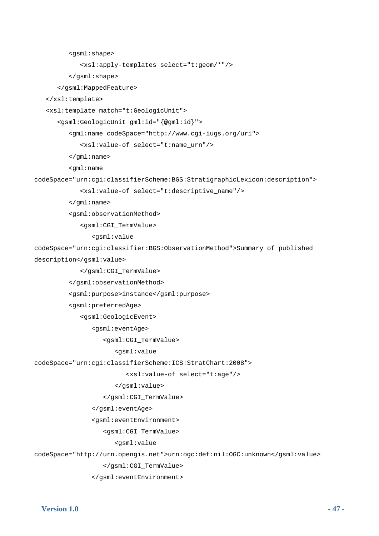```
 <gsml:shape> 
              <xsl:apply-templates select="t:geom/*"/> 
          </gsml:shape> 
       </gsml:MappedFeature> 
    </xsl:template> 
    <xsl:template match="t:GeologicUnit"> 
       <gsml:GeologicUnit gml:id="{@gml:id}"> 
          <gml:name codeSpace="http://www.cgi-iugs.org/uri"> 
              <xsl:value-of select="t:name_urn"/> 
          </gml:name> 
          <gml:name 
codeSpace="urn:cgi:classifierScheme:BGS:StratigraphicLexicon:description"> 
              <xsl:value-of select="t:descriptive_name"/> 
          </gml:name> 
          <gsml:observationMethod> 
              <gsml:CGI_TermValue> 
                 <gsml:value 
codeSpace="urn:cgi:classifier:BGS:ObservationMethod">Summary of published 
description</gsml:value> 
              </gsml:CGI_TermValue> 
          </gsml:observationMethod> 
          <gsml:purpose>instance</gsml:purpose> 
          <gsml:preferredAge> 
              <gsml:GeologicEvent> 
                 <gsml:eventAge> 
                    <gsml:CGI_TermValue> 
                       <gsml:value 
codeSpace="urn:cgi:classifierScheme:ICS:StratChart:2008"> 
                           <xsl:value-of select="t:age"/> 
                       </gsml:value> 
                    </gsml:CGI_TermValue> 
                 </gsml:eventAge> 
                 <gsml:eventEnvironment> 
                    <gsml:CGI_TermValue> 
                       <gsml:value 
codeSpace="http://urn.opengis.net">urn:ogc:def:nil:OGC:unknown</gsml:value> 
                    </gsml:CGI_TermValue> 
                 </gsml:eventEnvironment>
```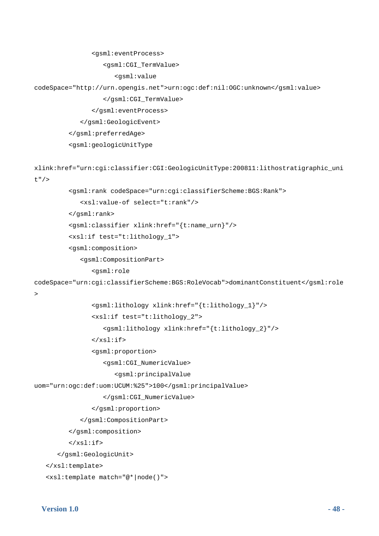```
 <gsml:eventProcess>
```
<gsml:CGI\_TermValue>

<gsml:value

codeSpace="http://urn.opengis.net">urn:ogc:def:nil:OGC:unknown</gsml:value>

</gsml:CGI\_TermValue>

</gsml:eventProcess>

</gsml:GeologicEvent>

```
 </gsml:preferredAge>
```
<gsml:geologicUnitType

```
xlink:href="urn:cgi:classifier:CGI:GeologicUnitType:200811:lithostratigraphic_uni
t"/>
```

```
 <gsml:rank codeSpace="urn:cgi:classifierScheme:BGS:Rank">
```
<xsl:value-of select="t:rank"/>

```
 </gsml:rank>
```

```
 <gsml:classifier xlink:href="{t:name_urn}"/>
```

```
 <xsl:if test="t:lithology_1">
```
<gsml:composition>

```
 <gsml:CompositionPart>
```
<gsml:role

```
codeSpace="urn:cgi:classifierScheme:BGS:RoleVocab">dominantConstituent</gsml:role
```
 $\rightarrow$ 

```
 <gsml:lithology xlink:href="{t:lithology_1}"/> 
 <xsl:if test="t:lithology_2">
```

```
 <gsml:lithology xlink:href="{t:lithology_2}"/>
```
 $\langle xsl:if\rangle$ 

```
 <gsml:proportion>
```

```
 <gsml:CGI_NumericValue>
```

```
 <gsml:principalValue
```
uom="urn:ogc:def:uom:UCUM:%25">100</gsml:principalValue>

```
 </gsml:CGI_NumericValue>
```

```
 </gsml:proportion>
```

```
 </gsml:CompositionPart>
```

```
 </gsml:composition>
```

```
\langle xsl:if\rangle
```

```
 </gsml:GeologicUnit>
```

```
 </xsl:template>
```

```
 <xsl:template match="@*|node()">
```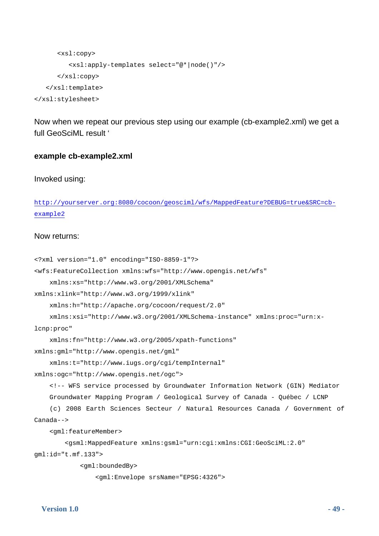```
 <xsl:copy> 
           <xsl:apply-templates select="@*|node()"/> 
       </xsl:copy> 
    </xsl:template> 
</xsl:stylesheet>
```
Now when we repeat our previous step using our example (cb-example2.xml) we get a full GeoSciML result '

#### **example cb-example2.xml**

Invoked using:

```
http://yourserver.org:8080/cocoon/geosciml/wfs/MappedFeature?DEBUG=true&SRC=cb-
example2
```
#### Now returns:

```
<?xml version="1.0" encoding="ISO-8859-1"?> 
<wfs:FeatureCollection xmlns:wfs="http://www.opengis.net/wfs" 
     xmlns:xs="http://www.w3.org/2001/XMLSchema" 
xmlns:xlink="http://www.w3.org/1999/xlink" 
     xmlns:h="http://apache.org/cocoon/request/2.0" 
     xmlns:xsi="http://www.w3.org/2001/XMLSchema-instance" xmlns:proc="urn:x-
lcnp:proc" 
     xmlns:fn="http://www.w3.org/2005/xpath-functions" 
xmlns:gml="http://www.opengis.net/gml" 
     xmlns:t="http://www.iugs.org/cgi/tempInternal" 
xmlns:ogc="http://www.opengis.net/ogc"> 
     <!-- WFS service processed by Groundwater Information Network (GIN) Mediator 
     Groundwater Mapping Program / Geological Survey of Canada - Québec / LCNP 
     (c) 2008 Earth Sciences Secteur / Natural Resources Canada / Government of 
Canada--> 
     <gml:featureMember> 
         <gsml:MappedFeature xmlns:gsml="urn:cgi:xmlns:CGI:GeoSciML:2.0" 
gml:id="t.mf.133"> 
             <gml:boundedBy> 
                 <gml:Envelope srsName="EPSG:4326">
```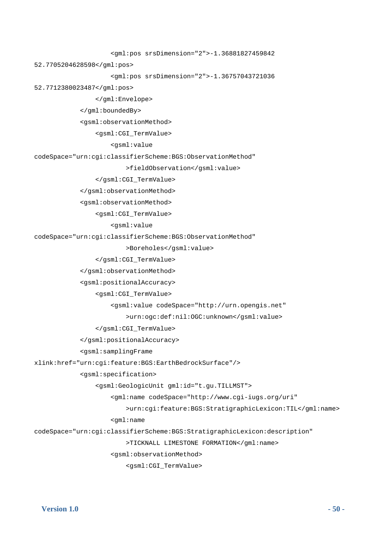```
 <gml:pos srsDimension="2">-1.36881827459842 
52.7705204628598</gml:pos> 
                      <gml:pos srsDimension="2">-1.36757043721036 
52.7712380023487</gml:pos> 
                  </gml:Envelope> 
             </gml:boundedBy> 
             <gsml:observationMethod> 
                  <gsml:CGI_TermValue> 
                      <gsml:value 
codeSpace="urn:cgi:classifierScheme:BGS:ObservationMethod" 
                          >fieldObservation</gsml:value> 
                  </gsml:CGI_TermValue> 
             </gsml:observationMethod> 
             <gsml:observationMethod> 
                  <gsml:CGI_TermValue> 
                      <gsml:value 
codeSpace="urn:cgi:classifierScheme:BGS:ObservationMethod" 
                          >Boreholes</gsml:value> 
                  </gsml:CGI_TermValue> 
             </gsml:observationMethod> 
             <gsml:positionalAccuracy> 
                  <gsml:CGI_TermValue> 
                      <gsml:value codeSpace="http://urn.opengis.net" 
                          >urn:ogc:def:nil:OGC:unknown</gsml:value> 
                  </gsml:CGI_TermValue> 
             </gsml:positionalAccuracy> 
             <gsml:samplingFrame 
xlink:href="urn:cgi:feature:BGS:EarthBedrockSurface"/> 
             <gsml:specification> 
                  <gsml:GeologicUnit gml:id="t.gu.TILLMST"> 
                      <gml:name codeSpace="http://www.cgi-iugs.org/uri" 
                          >urn:cgi:feature:BGS:StratigraphicLexicon:TIL</gml:name> 
                      <gml:name 
codeSpace="urn:cgi:classifierScheme:BGS:StratigraphicLexicon:description" 
                          >TICKNALL LIMESTONE FORMATION</gml:name> 
                      <gsml:observationMethod>
```

```
 <gsml:CGI_TermValue>
```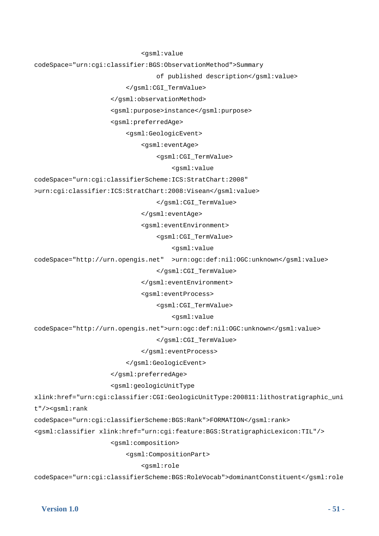```
 <gsml:value
```
codeSpace="urn:cgi:classifier:BGS:ObservationMethod">Summary

of published description</gsml:value>

</gsml:CGI\_TermValue>

</gsml:observationMethod>

<gsml:purpose>instance</gsml:purpose>

<gsml:preferredAge>

<gsml:GeologicEvent>

<gsml:eventAge>

<gsml:CGI\_TermValue>

<gsml:value

codeSpace="urn:cgi:classifierScheme:ICS:StratChart:2008"

>urn:cgi:classifier:ICS:StratChart:2008:Visean</gsml:value>

</gsml:CGI\_TermValue>

</gsml:eventAge>

<gsml:eventEnvironment>

<gsml:CGI\_TermValue>

<gsml:value

codeSpace="http://urn.opengis.net" >urn:ogc:def:nil:OGC:unknown</gsml:value>

</gsml:CGI\_TermValue>

</gsml:eventEnvironment>

<gsml:eventProcess>

<gsml:CGI\_TermValue>

<gsml:value

codeSpace="http://urn.opengis.net">urn:ogc:def:nil:OGC:unknown</gsml:value>

</gsml:CGI\_TermValue>

</gsml:eventProcess>

</gsml:GeologicEvent>

</gsml:preferredAge>

<gsml:geologicUnitType

xlink:href="urn:cgi:classifier:CGI:GeologicUnitType:200811:lithostratigraphic\_uni

t"/><gsml:rank

codeSpace="urn:cgi:classifierScheme:BGS:Rank">FORMATION</gsml:rank>

<gsml:classifier xlink:href="urn:cgi:feature:BGS:StratigraphicLexicon:TIL"/>

<gsml:composition>

<gsml:CompositionPart>

<gsml:role

codeSpace="urn:cgi:classifierScheme:BGS:RoleVocab">dominantConstituent</gsml:role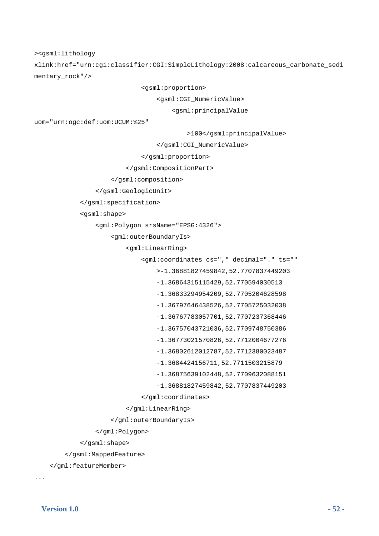><gsml:lithology

xlink:href="urn:cgi:classifier:CGI:SimpleLithology:2008:calcareous\_carbonate\_sedi mentary\_rock"/>

<gsml:proportion>

<gsml:CGI\_NumericValue>

<gsml:principalValue

uom="urn:ogc:def:uom:UCUM:%25"

>100</gsml:principalValue>

</gsml:CGI\_NumericValue>

</gsml:proportion>

</gsml:CompositionPart>

</gsml:composition>

```
 </gsml:GeologicUnit>
```
</gsml:specification>

<gsml:shape>

<gml:Polygon srsName="EPSG:4326">

<gml:outerBoundaryIs>

<gml:LinearRing>

<gml:coordinates cs="," decimal="." ts=""

>-1.36881827459842,52.7707837449203

-1.36864315115429,52.770594030513

-1.36833294954209,52.7705204628598

-1.36797646438526,52.7705725032038

-1.36767783057701,52.7707237368446

-1.36757043721036,52.7709748750386

-1.36773021570826,52.7712004677276

-1.36802612012787,52.7712380023487

-1.3684424156711,52.7711503215879

-1.36875639102448,52.7709632088151

-1.36881827459842,52.7707837449203

</gml:coordinates>

```
 </gml:LinearRing>
```
</gml:outerBoundaryIs>

</gml:Polygon>

```
 </gsml:shape>
```
</gsml:MappedFeature>

```
 </gml:featureMember>
```
...